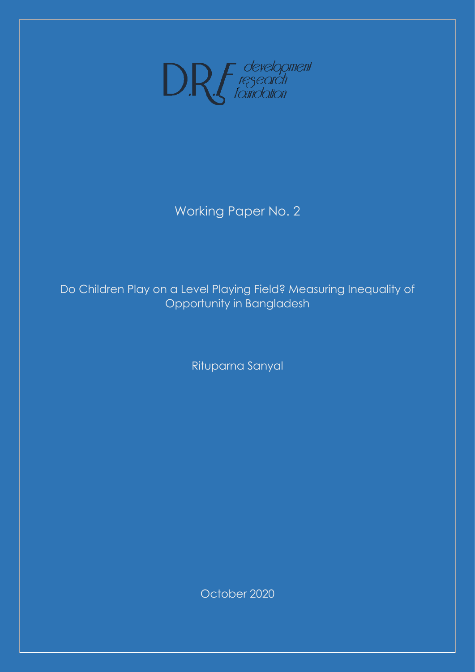

# Working Paper No. 2

# Do Children Play on a Level Playing Field? Measuring Inequality of Opportunity in Bangladesh

Rituparna Sanyal

October 2020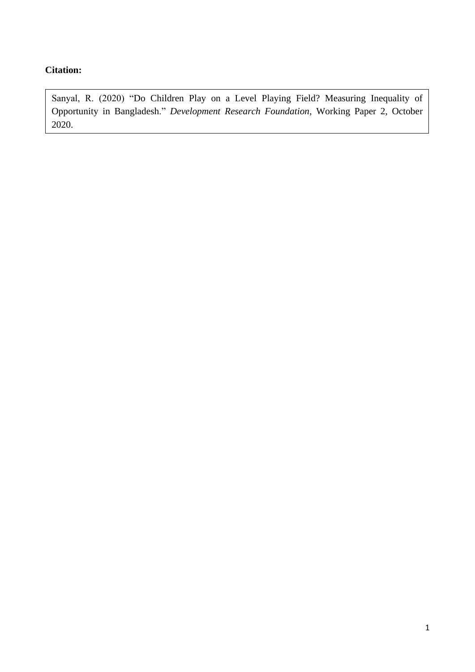# **Citation:**

Sanyal, R. (2020) "Do Children Play on a Level Playing Field? Measuring Inequality of Opportunity in Bangladesh." *Development Research Foundation*, Working Paper 2, October 2020.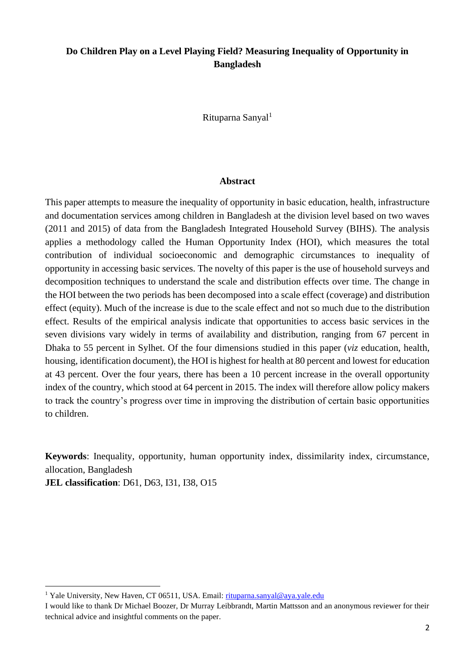## **Do Children Play on a Level Playing Field? Measuring Inequality of Opportunity in Bangladesh**

Rituparna Sanyal<sup>1</sup>

#### **Abstract**

This paper attempts to measure the inequality of opportunity in basic education, health, infrastructure and documentation services among children in Bangladesh at the division level based on two waves (2011 and 2015) of data from the Bangladesh Integrated Household Survey (BIHS). The analysis applies a methodology called the Human Opportunity Index (HOI), which measures the total contribution of individual socioeconomic and demographic circumstances to inequality of opportunity in accessing basic services. The novelty of this paper is the use of household surveys and decomposition techniques to understand the scale and distribution effects over time. The change in the HOI between the two periods has been decomposed into a scale effect (coverage) and distribution effect (equity). Much of the increase is due to the scale effect and not so much due to the distribution effect. Results of the empirical analysis indicate that opportunities to access basic services in the seven divisions vary widely in terms of availability and distribution, ranging from 67 percent in Dhaka to 55 percent in Sylhet. Of the four dimensions studied in this paper (*viz* education, health, housing, identification document), the HOI is highest for health at 80 percent and lowest for education at 43 percent. Over the four years, there has been a 10 percent increase in the overall opportunity index of the country, which stood at 64 percent in 2015. The index will therefore allow policy makers to track the country's progress over time in improving the distribution of certain basic opportunities to children.

**Keywords**: Inequality, opportunity, human opportunity index, dissimilarity index, circumstance, allocation, Bangladesh

**JEL classification**: D61, D63, I31, I38, O15

<sup>&</sup>lt;sup>1</sup> Yale University, New Haven, CT 06511, USA. Email: [rituparna.sanyal@aya.yale.edu](mailto:rituparna.sanyal@aya.yale.edu)

I would like to thank Dr Michael Boozer, Dr Murray Leibbrandt, Martin Mattsson and an anonymous reviewer for their technical advice and insightful comments on the paper.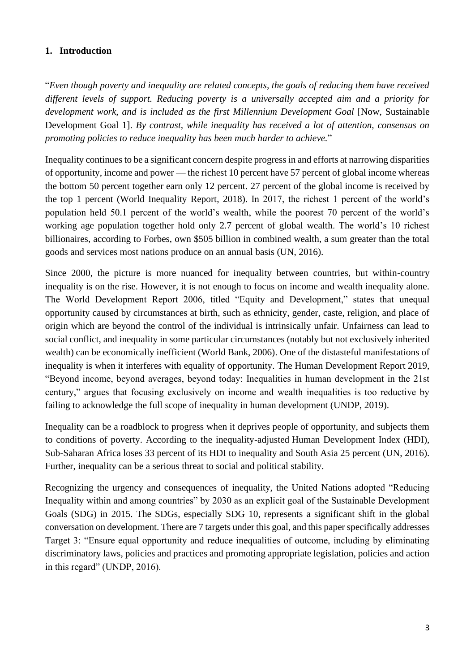### **1. Introduction**

"*Even though poverty and inequality are related concepts, the goals of reducing them have received different levels of support. Reducing poverty is a universally accepted aim and a priority for*  development work, and is included as the first Millennium Development Goal [Now, Sustainable Development Goal 1]. *By contrast, while inequality has received a lot of attention, consensus on promoting policies to reduce inequality has been much harder to achieve.*"

Inequality continues to be a significant concern despite progress in and efforts at narrowing disparities of opportunity, income and power — the richest 10 percent have 57 percent of global income whereas the bottom 50 percent together earn only 12 percent. 27 percent of the global income is received by the top 1 percent (World Inequality Report, 2018). In 2017, the richest 1 percent of the world's population held 50.1 percent of the world's wealth, while the poorest 70 percent of the world's working age population together hold only 2.7 percent of global wealth. The world's 10 richest billionaires, according to Forbes, own \$505 billion in combined wealth, a sum greater than the total goods and services most nations produce on an annual basis (UN, 2016).

Since 2000, the picture is more nuanced for inequality between countries, but within-country inequality is on the rise. However, it is not enough to focus on income and wealth inequality alone. The World Development Report 2006, titled "Equity and Development," states that unequal opportunity caused by circumstances at birth, such as ethnicity, gender, caste, religion, and place of origin which are beyond the control of the individual is intrinsically unfair. Unfairness can lead to social conflict, and inequality in some particular circumstances (notably but not exclusively inherited wealth) can be economically inefficient (World Bank, 2006). One of the distasteful manifestations of inequality is when it interferes with equality of opportunity. The Human Development Report 2019, "Beyond income, beyond averages, beyond today: Inequalities in human development in the 21st century," argues that focusing exclusively on income and wealth inequalities is too reductive by failing to acknowledge the full scope of inequality in human development (UNDP, 2019).

Inequality can be a roadblock to progress when it deprives people of opportunity, and subjects them to conditions of poverty. According to the inequality-adjusted Human Development Index (HDI), Sub-Saharan Africa loses 33 percent of its HDI to inequality and South Asia 25 percent (UN, 2016). Further, inequality can be a serious threat to social and political stability.

Recognizing the urgency and consequences of inequality, the United Nations adopted "Reducing Inequality within and among countries" by 2030 as an explicit goal of the Sustainable Development Goals (SDG) in 2015. The SDGs, especially SDG 10, represents a significant shift in the global conversation on development. There are 7 targets under this goal, and this paper specifically addresses Target 3: "Ensure equal opportunity and reduce inequalities of outcome, including by eliminating discriminatory laws, policies and practices and promoting appropriate legislation, policies and action in this regard" (UNDP, 2016).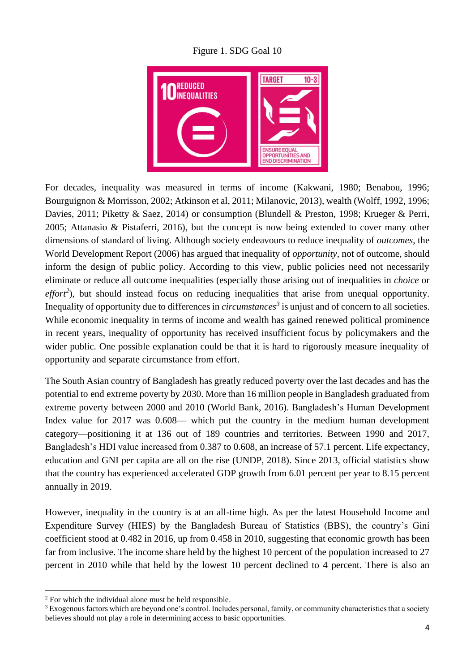Figure 1. SDG Goal 10



For decades, inequality was measured in terms of income (Kakwani, 1980; Benabou, 1996; Bourguignon & Morrisson, 2002; Atkinson et al, 2011; Milanovic, 2013), wealth (Wolff, 1992, 1996; Davies, 2011; Piketty & Saez, 2014) or consumption (Blundell & Preston, 1998; Krueger & Perri, 2005; Attanasio & Pistaferri, 2016), but the concept is now being extended to cover many other dimensions of standard of living. Although society endeavours to reduce inequality of *outcomes*, the World Development Report (2006) has argued that inequality of *opportunity*, not of outcome, should inform the design of public policy. According to this view, public policies need not necessarily eliminate or reduce all outcome inequalities (especially those arising out of inequalities in *choice* or effort<sup>2</sup>), but should instead focus on reducing inequalities that arise from unequal opportunity. Inequality of opportunity due to differences in *circumstances<sup>3</sup>* is unjust and of concern to all societies. While economic inequality in terms of income and wealth has gained renewed political prominence in recent years, inequality of opportunity has received insufficient focus by policymakers and the wider public. One possible explanation could be that it is hard to rigorously measure inequality of opportunity and separate circumstance from effort.

The South Asian country of Bangladesh has greatly reduced poverty over the last decades and has the potential to end extreme poverty by 2030. More than 16 million people in Bangladesh graduated from extreme poverty between 2000 and 2010 (World Bank, 2016). Bangladesh's Human Development Index value for 2017 was 0.608— which put the country in the medium human development category—positioning it at 136 out of 189 countries and territories. Between 1990 and 2017, Bangladesh's HDI value increased from 0.387 to 0.608, an increase of 57.1 percent. Life expectancy, education and GNI per capita are all on the rise (UNDP, 2018). Since 2013, official statistics show that the country has experienced accelerated GDP growth from 6.01 percent per year to 8.15 percent annually in 2019.

However, inequality in the country is at an all-time high. As per the latest Household Income and Expenditure Survey (HIES) by the Bangladesh Bureau of Statistics (BBS), the country's Gini coefficient stood at 0.482 in 2016, up from 0.458 in 2010, suggesting that economic growth has been far from inclusive. The income share held by the highest 10 percent of the population increased to 27 percent in 2010 while that held by the lowest 10 percent declined to 4 percent. There is also an

<sup>&</sup>lt;sup>2</sup> For which the individual alone must be held responsible.

<sup>&</sup>lt;sup>3</sup> Exogenous factors which are beyond one's control. Includes personal, family, or community characteristics that a society believes should not play a role in determining access to basic opportunities.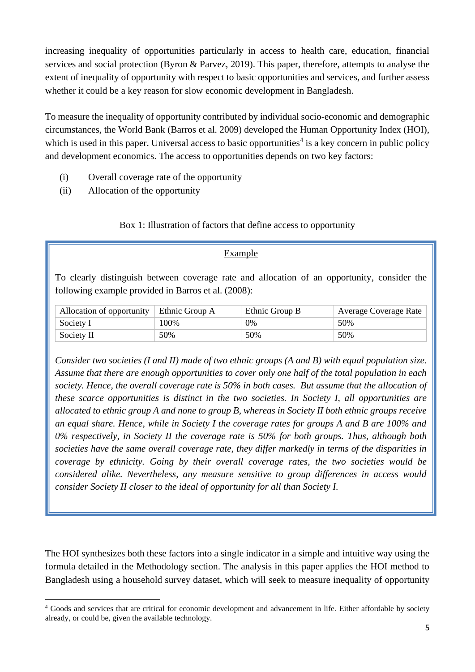increasing inequality of opportunities particularly in access to health care, education, financial services and social protection (Byron & Parvez, 2019). This paper, therefore, attempts to analyse the extent of inequality of opportunity with respect to basic opportunities and services, and further assess whether it could be a key reason for slow economic development in Bangladesh.

To measure the inequality of opportunity contributed by individual socio-economic and demographic circumstances, the World Bank (Barros et al. 2009) developed the Human Opportunity Index (HOI), which is used in this paper. Universal access to basic opportunities<sup>4</sup> is a key concern in public policy and development economics. The access to opportunities depends on two key factors:

- (i) Overall coverage rate of the opportunity
- (ii) Allocation of the opportunity

### Box 1: Illustration of factors that define access to opportunity

### Example

To clearly distinguish between coverage rate and allocation of an opportunity, consider the following example provided in Barros et al. (2008):

| Allocation of opportunity $\vert$ Ethnic Group A |      | Ethnic Group B | <b>Average Coverage Rate</b> |
|--------------------------------------------------|------|----------------|------------------------------|
| Society I                                        | 100% | 0%             | 50%                          |
| Society II                                       | 50%  | 50%            | 50%                          |

*Consider two societies (I and II) made of two ethnic groups (A and B) with equal population size. Assume that there are enough opportunities to cover only one half of the total population in each society. Hence, the overall coverage rate is 50% in both cases. But assume that the allocation of these scarce opportunities is distinct in the two societies. In Society I, all opportunities are allocated to ethnic group A and none to group B, whereas in Society II both ethnic groups receive an equal share. Hence, while in Society I the coverage rates for groups A and B are 100% and 0% respectively, in Society II the coverage rate is 50% for both groups. Thus, although both societies have the same overall coverage rate, they differ markedly in terms of the disparities in coverage by ethnicity. Going by their overall coverage rates, the two societies would be considered alike. Nevertheless, any measure sensitive to group differences in access would consider Society II closer to the ideal of opportunity for all than Society I.*

The HOI synthesizes both these factors into a single indicator in a simple and intuitive way using the formula detailed in the Methodology section. The analysis in this paper applies the HOI method to Bangladesh using a household survey dataset, which will seek to measure inequality of opportunity

<sup>4</sup> Goods and services that are critical for economic development and advancement in life. Either affordable by society already, or could be, given the available technology.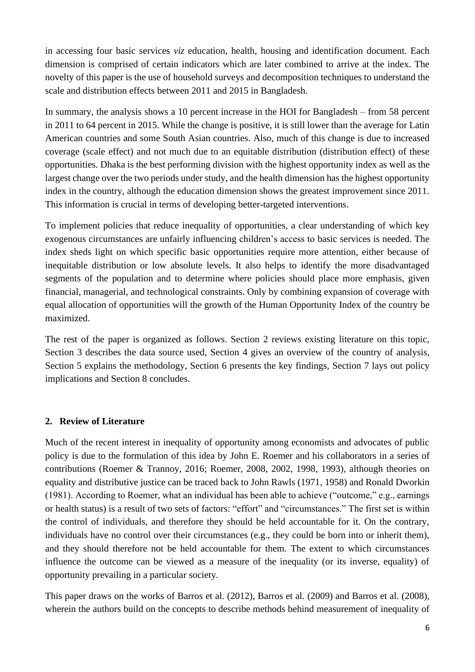in accessing four basic services *viz* education, health, housing and identification document. Each dimension is comprised of certain indicators which are later combined to arrive at the index. The novelty of this paper is the use of household surveys and decomposition techniques to understand the scale and distribution effects between 2011 and 2015 in Bangladesh.

In summary, the analysis shows a 10 percent increase in the HOI for Bangladesh – from 58 percent in 2011 to 64 percent in 2015. While the change is positive, it is still lower than the average for Latin American countries and some South Asian countries. Also, much of this change is due to increased coverage (scale effect) and not much due to an equitable distribution (distribution effect) of these opportunities. Dhaka is the best performing division with the highest opportunity index as well as the largest change over the two periods under study, and the health dimension has the highest opportunity index in the country, although the education dimension shows the greatest improvement since 2011. This information is crucial in terms of developing better-targeted interventions.

To implement policies that reduce inequality of opportunities, a clear understanding of which key exogenous circumstances are unfairly influencing children's access to basic services is needed. The index sheds light on which specific basic opportunities require more attention, either because of inequitable distribution or low absolute levels. It also helps to identify the more disadvantaged segments of the population and to determine where policies should place more emphasis, given financial, managerial, and technological constraints. Only by combining expansion of coverage with equal allocation of opportunities will the growth of the Human Opportunity Index of the country be maximized.

The rest of the paper is organized as follows. Section 2 reviews existing literature on this topic, Section 3 describes the data source used, Section 4 gives an overview of the country of analysis, Section 5 explains the methodology, Section 6 presents the key findings, Section 7 lays out policy implications and Section 8 concludes.

### **2. Review of Literature**

Much of the recent interest in inequality of opportunity among economists and advocates of public policy is due to the formulation of this idea by John E. Roemer and his collaborators in a series of contributions (Roemer & Trannoy, 2016; Roemer, 2008, 2002, 1998, 1993), although theories on equality and distributive justice can be traced back to John Rawls (1971, 1958) and Ronald Dworkin (1981). According to Roemer, what an individual has been able to achieve ("outcome," e.g., earnings or health status) is a result of two sets of factors: "effort" and "circumstances." The first set is within the control of individuals, and therefore they should be held accountable for it. On the contrary, individuals have no control over their circumstances (e.g., they could be born into or inherit them), and they should therefore not be held accountable for them. The extent to which circumstances influence the outcome can be viewed as a measure of the inequality (or its inverse, equality) of opportunity prevailing in a particular society.

This paper draws on the works of Barros et al. (2012), Barros et al. (2009) and Barros et al. (2008), wherein the authors build on the concepts to describe methods behind measurement of inequality of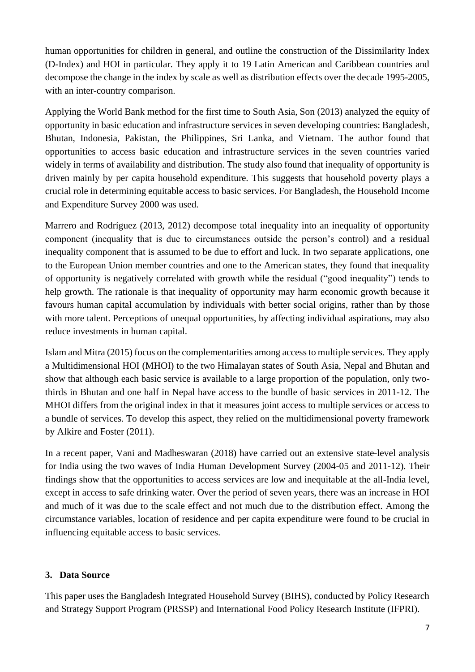human opportunities for children in general, and outline the construction of the Dissimilarity Index (D-Index) and HOI in particular. They apply it to 19 Latin American and Caribbean countries and decompose the change in the index by scale as well as distribution effects over the decade 1995-2005, with an inter-country comparison.

Applying the World Bank method for the first time to South Asia, Son (2013) analyzed the equity of opportunity in basic education and infrastructure services in seven developing countries: Bangladesh, Bhutan, Indonesia, Pakistan, the Philippines, Sri Lanka, and Vietnam. The author found that opportunities to access basic education and infrastructure services in the seven countries varied widely in terms of availability and distribution. The study also found that inequality of opportunity is driven mainly by per capita household expenditure. This suggests that household poverty plays a crucial role in determining equitable access to basic services. For Bangladesh, the Household Income and Expenditure Survey 2000 was used.

Marrero and Rodríguez (2013, 2012) decompose total inequality into an inequality of opportunity component (inequality that is due to circumstances outside the person's control) and a residual inequality component that is assumed to be due to effort and luck. In two separate applications, one to the European Union member countries and one to the American states, they found that inequality of opportunity is negatively correlated with growth while the residual ("good inequality") tends to help growth. The rationale is that inequality of opportunity may harm economic growth because it favours human capital accumulation by individuals with better social origins, rather than by those with more talent. Perceptions of unequal opportunities, by affecting individual aspirations, may also reduce investments in human capital.

Islam and Mitra (2015) focus on the complementarities among access to multiple services. They apply a Multidimensional HOI (MHOI) to the two Himalayan states of South Asia, Nepal and Bhutan and show that although each basic service is available to a large proportion of the population, only twothirds in Bhutan and one half in Nepal have access to the bundle of basic services in 2011-12. The MHOI differs from the original index in that it measures joint access to multiple services or access to a bundle of services. To develop this aspect, they relied on the multidimensional poverty framework by Alkire and Foster (2011).

In a recent paper, Vani and Madheswaran (2018) have carried out an extensive state-level analysis for India using the two waves of India Human Development Survey (2004-05 and 2011-12). Their findings show that the opportunities to access services are low and inequitable at the all-India level, except in access to safe drinking water. Over the period of seven years, there was an increase in HOI and much of it was due to the scale effect and not much due to the distribution effect. Among the circumstance variables, location of residence and per capita expenditure were found to be crucial in influencing equitable access to basic services.

## **3. Data Source**

This paper uses the Bangladesh Integrated Household Survey (BIHS), conducted by Policy Research and Strategy Support Program (PRSSP) and International Food Policy Research Institute (IFPRI).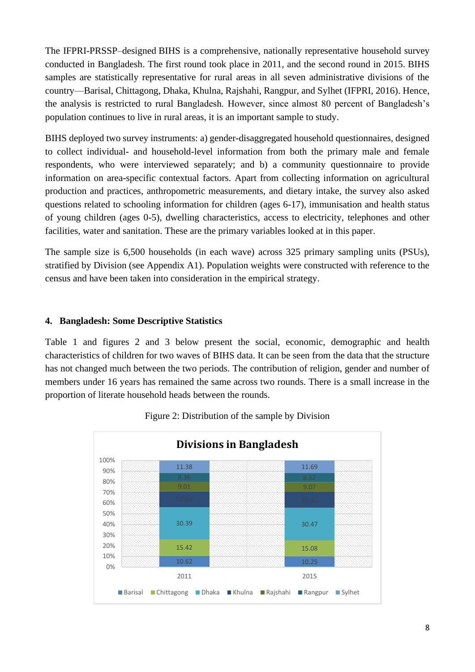The IFPRI-PRSSP–designed BIHS is a comprehensive, nationally representative household survey conducted in Bangladesh. The first round took place in 2011, and the second round in 2015. BIHS samples are statistically representative for rural areas in all seven administrative divisions of the country—Barisal, Chittagong, Dhaka, Khulna, Rajshahi, Rangpur, and Sylhet (IFPRI, 2016). Hence, the analysis is restricted to rural Bangladesh. However, since almost 80 percent of Bangladesh's population continues to live in rural areas, it is an important sample to study.

BIHS deployed two survey instruments: a) gender-disaggregated household questionnaires, designed to collect individual- and household-level information from both the primary male and female respondents, who were interviewed separately; and b) a community questionnaire to provide information on area-specific contextual factors. Apart from collecting information on agricultural production and practices, anthropometric measurements, and dietary intake, the survey also asked questions related to schooling information for children (ages 6-17), immunisation and health status of young children (ages 0-5), dwelling characteristics, access to electricity, telephones and other facilities, water and sanitation. These are the primary variables looked at in this paper.

The sample size is 6,500 households (in each wave) across 325 primary sampling units (PSUs), stratified by Division (see Appendix A1). Population weights were constructed with reference to the census and have been taken into consideration in the empirical strategy.

### **4. Bangladesh: Some Descriptive Statistics**

Table 1 and figures 2 and 3 below present the social, economic, demographic and health characteristics of children for two waves of BIHS data. It can be seen from the data that the structure has not changed much between the two periods. The contribution of religion, gender and number of members under 16 years has remained the same across two rounds. There is a small increase in the proportion of literate household heads between the rounds.



Figure 2: Distribution of the sample by Division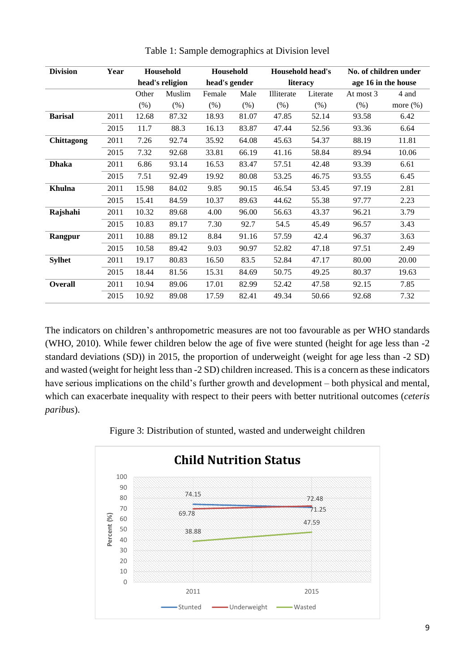| <b>Division</b> | Year |        | Household       |        | Household     |            | Household head's |                     | No. of children under |  |
|-----------------|------|--------|-----------------|--------|---------------|------------|------------------|---------------------|-----------------------|--|
|                 |      |        | head's religion |        | head's gender |            | literacy         | age 16 in the house |                       |  |
|                 |      | Other  | Muslim          | Female | Male          | Illiterate | Literate         | At most 3           | 4 and                 |  |
|                 |      | $(\%)$ | $(\% )$         | (% )   | (% )          | (% )       | (% )             | (% )                | more $(\%)$           |  |
| <b>Barisal</b>  | 2011 | 12.68  | 87.32           | 18.93  | 81.07         | 47.85      | 52.14            | 93.58               | 6.42                  |  |
|                 | 2015 | 11.7   | 88.3            | 16.13  | 83.87         | 47.44      | 52.56            | 93.36               | 6.64                  |  |
| Chittagong      | 2011 | 7.26   | 92.74           | 35.92  | 64.08         | 45.63      | 54.37            | 88.19               | 11.81                 |  |
|                 | 2015 | 7.32   | 92.68           | 33.81  | 66.19         | 41.16      | 58.84            | 89.94               | 10.06                 |  |
| <b>Dhaka</b>    | 2011 | 6.86   | 93.14           | 16.53  | 83.47         | 57.51      | 42.48            | 93.39               | 6.61                  |  |
|                 | 2015 | 7.51   | 92.49           | 19.92  | 80.08         | 53.25      | 46.75            | 93.55               | 6.45                  |  |
| <b>Khulna</b>   | 2011 | 15.98  | 84.02           | 9.85   | 90.15         | 46.54      | 53.45            | 97.19               | 2.81                  |  |
|                 | 2015 | 15.41  | 84.59           | 10.37  | 89.63         | 44.62      | 55.38            | 97.77               | 2.23                  |  |
| Rajshahi        | 2011 | 10.32  | 89.68           | 4.00   | 96.00         | 56.63      | 43.37            | 96.21               | 3.79                  |  |
|                 | 2015 | 10.83  | 89.17           | 7.30   | 92.7          | 54.5       | 45.49            | 96.57               | 3.43                  |  |
| Rangpur         | 2011 | 10.88  | 89.12           | 8.84   | 91.16         | 57.59      | 42.4             | 96.37               | 3.63                  |  |
|                 | 2015 | 10.58  | 89.42           | 9.03   | 90.97         | 52.82      | 47.18            | 97.51               | 2.49                  |  |
| <b>Sylhet</b>   | 2011 | 19.17  | 80.83           | 16.50  | 83.5          | 52.84      | 47.17            | 80.00               | 20.00                 |  |
|                 | 2015 | 18.44  | 81.56           | 15.31  | 84.69         | 50.75      | 49.25            | 80.37               | 19.63                 |  |
| <b>Overall</b>  | 2011 | 10.94  | 89.06           | 17.01  | 82.99         | 52.42      | 47.58            | 92.15               | 7.85                  |  |
|                 | 2015 | 10.92  | 89.08           | 17.59  | 82.41         | 49.34      | 50.66            | 92.68               | 7.32                  |  |
|                 |      |        |                 |        |               |            |                  |                     |                       |  |

Table 1: Sample demographics at Division level

The indicators on children's anthropometric measures are not too favourable as per WHO standards (WHO, 2010). While fewer children below the age of five were stunted (height for age less than -2 standard deviations (SD)) in 2015, the proportion of underweight (weight for age less than -2 SD) and wasted (weight for height less than -2 SD) children increased. This is a concern as these indicators have serious implications on the child's further growth and development – both physical and mental, which can exacerbate inequality with respect to their peers with better nutritional outcomes (*ceteris paribus*).



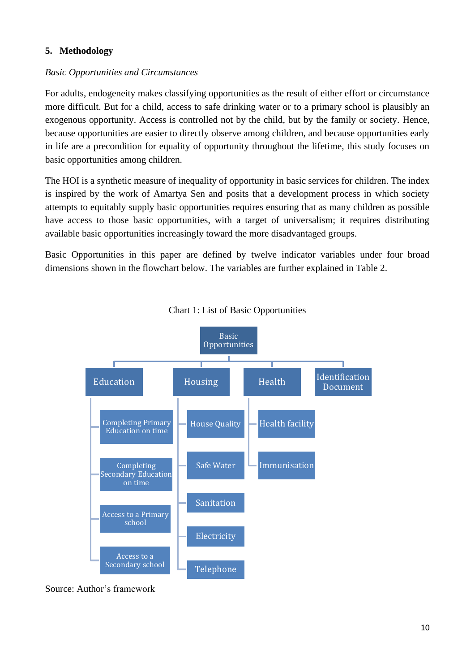## **5. Methodology**

### *Basic Opportunities and Circumstances*

For adults, endogeneity makes classifying opportunities as the result of either effort or circumstance more difficult. But for a child, access to safe drinking water or to a primary school is plausibly an exogenous opportunity. Access is controlled not by the child, but by the family or society. Hence, because opportunities are easier to directly observe among children, and because opportunities early in life are a precondition for equality of opportunity throughout the lifetime, this study focuses on basic opportunities among children.

The HOI is a synthetic measure of inequality of opportunity in basic services for children. The index is inspired by the work of Amartya Sen and posits that a development process in which society attempts to equitably supply basic opportunities requires ensuring that as many children as possible have access to those basic opportunities, with a target of universalism; it requires distributing available basic opportunities increasingly toward the more disadvantaged groups.

Basic Opportunities in this paper are defined by twelve indicator variables under four broad dimensions shown in the flowchart below. The variables are further explained in Table 2.





Source: Author's framework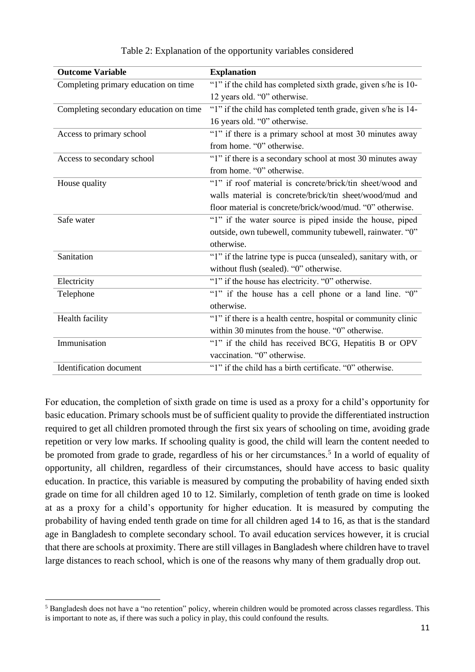| <b>Outcome Variable</b>                | <b>Explanation</b>                                             |
|----------------------------------------|----------------------------------------------------------------|
| Completing primary education on time   | "1" if the child has completed sixth grade, given s/he is 10-  |
|                                        | 12 years old. "0" otherwise.                                   |
| Completing secondary education on time | "1" if the child has completed tenth grade, given s/he is 14-  |
|                                        | 16 years old. "0" otherwise.                                   |
| Access to primary school               | "1" if there is a primary school at most 30 minutes away       |
|                                        | from home. "0" otherwise.                                      |
| Access to secondary school             | "1" if there is a secondary school at most 30 minutes away     |
|                                        | from home. "0" otherwise.                                      |
| House quality                          | "1" if roof material is concrete/brick/tin sheet/wood and      |
|                                        | walls material is concrete/brick/tin sheet/wood/mud and        |
|                                        | floor material is concrete/brick/wood/mud. "0" otherwise.      |
| Safe water                             | "1" if the water source is piped inside the house, piped       |
|                                        | outside, own tubewell, community tubewell, rainwater. "0"      |
|                                        | otherwise.                                                     |
| Sanitation                             | "1" if the latrine type is pucca (unsealed), sanitary with, or |
|                                        | without flush (sealed). "0" otherwise.                         |
| Electricity                            | "1" if the house has electricity. "0" otherwise.               |
| Telephone                              | "1" if the house has a cell phone or a land line. "0"          |
|                                        | otherwise.                                                     |
| Health facility                        | "1" if there is a health centre, hospital or community clinic  |
|                                        | within 30 minutes from the house. "0" otherwise.               |
| Immunisation                           | "1" if the child has received BCG, Hepatitis B or OPV          |
|                                        | vaccination. "0" otherwise.                                    |
| <b>Identification</b> document         | "1" if the child has a birth certificate. "0" otherwise.       |

Table 2: Explanation of the opportunity variables considered

For education, the completion of sixth grade on time is used as a proxy for a child's opportunity for basic education. Primary schools must be of sufficient quality to provide the differentiated instruction required to get all children promoted through the first six years of schooling on time, avoiding grade repetition or very low marks. If schooling quality is good, the child will learn the content needed to be promoted from grade to grade, regardless of his or her circumstances.<sup>5</sup> In a world of equality of opportunity, all children, regardless of their circumstances, should have access to basic quality education. In practice, this variable is measured by computing the probability of having ended sixth grade on time for all children aged 10 to 12. Similarly, completion of tenth grade on time is looked at as a proxy for a child's opportunity for higher education. It is measured by computing the probability of having ended tenth grade on time for all children aged 14 to 16, as that is the standard age in Bangladesh to complete secondary school. To avail education services however, it is crucial that there are schools at proximity. There are still villages in Bangladesh where children have to travel large distances to reach school, which is one of the reasons why many of them gradually drop out.

<sup>&</sup>lt;sup>5</sup> Bangladesh does not have a "no retention" policy, wherein children would be promoted across classes regardless. This is important to note as, if there was such a policy in play, this could confound the results.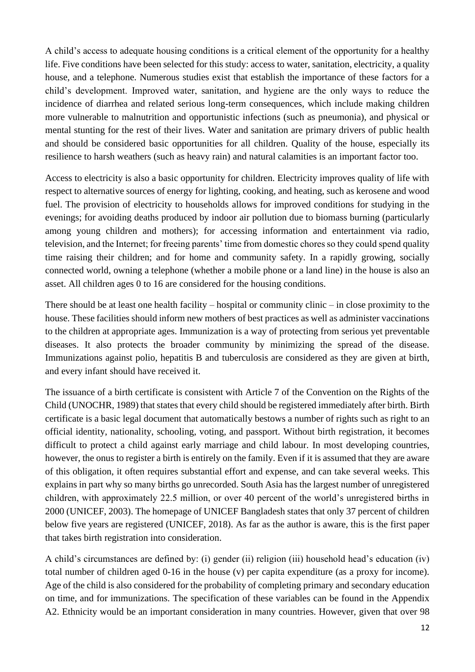A child's access to adequate housing conditions is a critical element of the opportunity for a healthy life. Five conditions have been selected for this study: access to water, sanitation, electricity, a quality house, and a telephone. Numerous studies exist that establish the importance of these factors for a child's development. Improved water, sanitation, and hygiene are the only ways to reduce the incidence of diarrhea and related serious long-term consequences, which include making children more vulnerable to malnutrition and opportunistic infections (such as pneumonia), and physical or mental stunting for the rest of their lives. Water and sanitation are primary drivers of public health and should be considered basic opportunities for all children. Quality of the house, especially its resilience to harsh weathers (such as heavy rain) and natural calamities is an important factor too.

Access to electricity is also a basic opportunity for children. Electricity improves quality of life with respect to alternative sources of energy for lighting, cooking, and heating, such as kerosene and wood fuel. The provision of electricity to households allows for improved conditions for studying in the evenings; for avoiding deaths produced by indoor air pollution due to biomass burning (particularly among young children and mothers); for accessing information and entertainment via radio, television, and the Internet; for freeing parents' time from domestic chores so they could spend quality time raising their children; and for home and community safety. In a rapidly growing, socially connected world, owning a telephone (whether a mobile phone or a land line) in the house is also an asset. All children ages 0 to 16 are considered for the housing conditions.

There should be at least one health facility – hospital or community clinic – in close proximity to the house. These facilities should inform new mothers of best practices as well as administer vaccinations to the children at appropriate ages. Immunization is a way of protecting from serious yet preventable diseases. It also protects the broader community by minimizing the spread of the disease. Immunizations against polio, hepatitis B and tuberculosis are considered as they are given at birth, and every infant should have received it.

The issuance of a birth certificate is consistent with Article 7 of the Convention on the Rights of the Child (UNOCHR, 1989) that states that every child should be registered immediately after birth. Birth certificate is a basic legal document that automatically bestows a number of rights such as right to an official identity, nationality, schooling, voting, and passport. Without birth registration, it becomes difficult to protect a child against early marriage and child labour. In most developing countries, however, the onus to register a birth is entirely on the family. Even if it is assumed that they are aware of this obligation, it often requires substantial effort and expense, and can take several weeks. This explains in part why so many births go unrecorded. South Asia has the largest number of unregistered children, with approximately 22.5 million, or over 40 percent of the world's unregistered births in 2000 (UNICEF, 2003). The homepage of UNICEF Bangladesh states that only 37 percent of children below five years are registered (UNICEF, 2018). As far as the author is aware, this is the first paper that takes birth registration into consideration.

A child's circumstances are defined by: (i) gender (ii) religion (iii) household head's education (iv) total number of children aged 0-16 in the house (v) per capita expenditure (as a proxy for income). Age of the child is also considered for the probability of completing primary and secondary education on time, and for immunizations. The specification of these variables can be found in the Appendix A2. Ethnicity would be an important consideration in many countries. However, given that over 98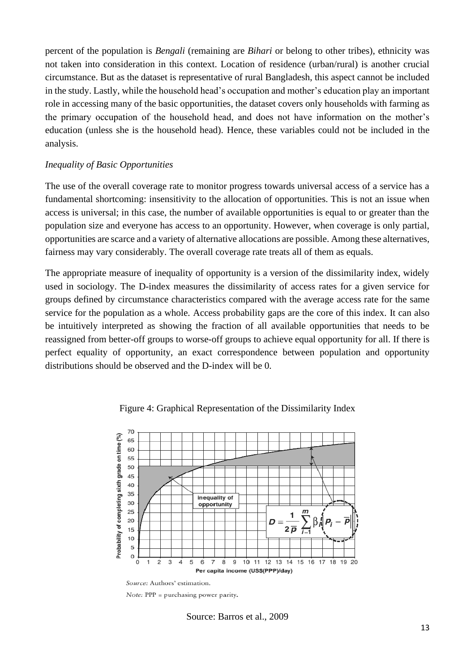percent of the population is *Bengali* (remaining are *Bihari* or belong to other tribes), ethnicity was not taken into consideration in this context. Location of residence (urban/rural) is another crucial circumstance. But as the dataset is representative of rural Bangladesh, this aspect cannot be included in the study. Lastly, while the household head's occupation and mother's education play an important role in accessing many of the basic opportunities, the dataset covers only households with farming as the primary occupation of the household head, and does not have information on the mother's education (unless she is the household head). Hence, these variables could not be included in the analysis.

#### *Inequality of Basic Opportunities*

The use of the overall coverage rate to monitor progress towards universal access of a service has a fundamental shortcoming: insensitivity to the allocation of opportunities. This is not an issue when access is universal; in this case, the number of available opportunities is equal to or greater than the population size and everyone has access to an opportunity. However, when coverage is only partial, opportunities are scarce and a variety of alternative allocations are possible. Among these alternatives, fairness may vary considerably. The overall coverage rate treats all of them as equals.

The appropriate measure of inequality of opportunity is a version of the dissimilarity index, widely used in sociology. The D-index measures the dissimilarity of access rates for a given service for groups defined by circumstance characteristics compared with the average access rate for the same service for the population as a whole. Access probability gaps are the core of this index. It can also be intuitively interpreted as showing the fraction of all available opportunities that needs to be reassigned from better-off groups to worse-off groups to achieve equal opportunity for all. If there is perfect equality of opportunity, an exact correspondence between population and opportunity distributions should be observed and the D-index will be 0.



Figure 4: Graphical Representation of the Dissimilarity Index

Source: Barros et al., 2009

Source: Authors' estimation.  $Note: PPP = purchasing power parity.$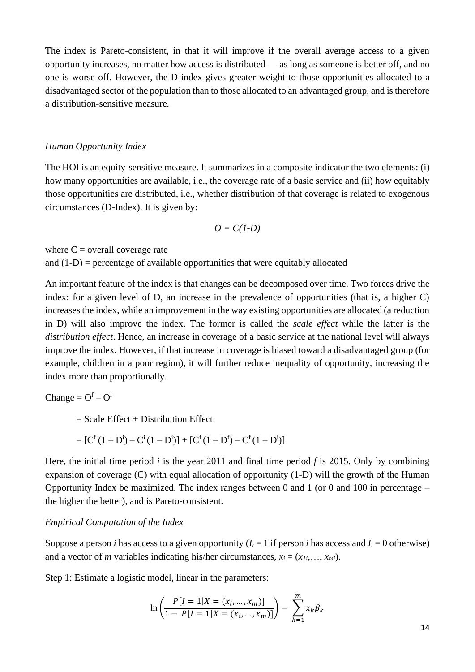The index is Pareto-consistent, in that it will improve if the overall average access to a given opportunity increases, no matter how access is distributed — as long as someone is better off, and no one is worse off. However, the D-index gives greater weight to those opportunities allocated to a disadvantaged sector of the population than to those allocated to an advantaged group, and is therefore a distribution-sensitive measure.

#### *Human Opportunity Index*

The HOI is an equity-sensitive measure. It summarizes in a composite indicator the two elements: (i) how many opportunities are available, i.e., the coverage rate of a basic service and (ii) how equitably those opportunities are distributed, i.e., whether distribution of that coverage is related to exogenous circumstances (D-Index). It is given by:

$$
O=C(I-D)
$$

where  $C =$  overall coverage rate and  $(1-D)$  = percentage of available opportunities that were equitably allocated

An important feature of the index is that changes can be decomposed over time. Two forces drive the index: for a given level of D, an increase in the prevalence of opportunities (that is, a higher C) increases the index, while an improvement in the way existing opportunities are allocated (a reduction in D) will also improve the index. The former is called the *scale effect* while the latter is the *distribution effect*. Hence, an increase in coverage of a basic service at the national level will always improve the index. However, if that increase in coverage is biased toward a disadvantaged group (for example, children in a poor region), it will further reduce inequality of opportunity, increasing the index more than proportionally.

$$
Change = O^f - O^i
$$

 $=$  Scale Effect + Distribution Effect

$$
= [C^{f} (1 - D^{i}) - C^{i} (1 - D^{i})] + [C^{f} (1 - D^{f}) - C^{f} (1 - D^{i})]
$$

Here, the initial time period *i* is the year 2011 and final time period *f* is 2015. Only by combining expansion of coverage (C) with equal allocation of opportunity (1-D) will the growth of the Human Opportunity Index be maximized. The index ranges between 0 and 1 (or 0 and 100 in percentage – the higher the better), and is Pareto-consistent.

#### *Empirical Computation of the Index*

Suppose a person *i* has access to a given opportunity  $(I_i = 1$  if person *i* has access and  $I_i = 0$  otherwise) and a vector of *m* variables indicating his/her circumstances,  $x_i = (x_{1i},...,x_{mi})$ .

Step 1: Estimate a logistic model, linear in the parameters:

$$
\ln\left(\frac{P[I = 1|X = (x_i, ..., x_m)]}{1 - P[I = 1|X = (x_i, ..., x_m)]}\right) = \sum_{k=1}^{m} x_k \beta_k
$$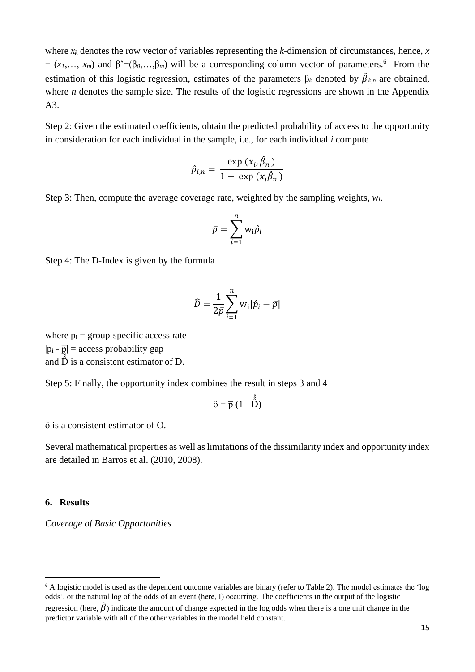where  $x_k$  denotes the row vector of variables representing the *k*-dimension of circumstances, hence,  $x$  $=(x_1,..., x_m)$  and  $\beta=(\beta_0,...,\beta_m)$  will be a corresponding column vector of parameters.<sup>6</sup> From the estimation of this logistic regression, estimates of the parameters  $\beta_k$  denoted by  $\hat{\beta}_{k,n}$  are obtained, where *n* denotes the sample size. The results of the logistic regressions are shown in the Appendix A3.

Step 2: Given the estimated coefficients, obtain the predicted probability of access to the opportunity in consideration for each individual in the sample, i.e., for each individual *i* compute

$$
\hat{p}_{i,n} = \frac{\exp(x_i, \hat{\beta}_n)}{1 + \exp(x_i \hat{\beta}_n)}
$$

Step 3: Then, compute the average coverage rate, weighted by the sampling weights, *wi*.

$$
\bar{p} = \sum_{i=1}^n w_i \hat{p}_i
$$

Step 4: The D-Index is given by the formula

$$
\widehat{D} = \frac{1}{2\bar{p}} \sum_{i=1}^{n} w_i |\hat{p}_i - \bar{p}|
$$

where  $p_i$  = group-specific access rate  $|p_i - \overline{p}|$  = access probability gap and  $\hat{\hat{D}}$  is a consistent estimator of D.

Step 5: Finally, the opportunity index combines the result in steps 3 and 4

$$
\hat{o} = \overline{p} (1 - \hat{\hat{D}})
$$

ô is a consistent estimator of O.

Several mathematical properties as well as limitations of the dissimilarity index and opportunity index are detailed in Barros et al. (2010, 2008).

#### **6. Results**

*Coverage of Basic Opportunities*

<sup>&</sup>lt;sup>6</sup> A logistic model is used as the dependent outcome variables are binary (refer to Table 2). The model estimates the 'log odds', or the natural log of the odds of an event (here, I) occurring. The coefficients in the output of the logistic regression (here,  $\hat{\beta}$ ) indicate the amount of change expected in the log odds when there is a one unit change in the

predictor variable with all of the other variables in the model held constant.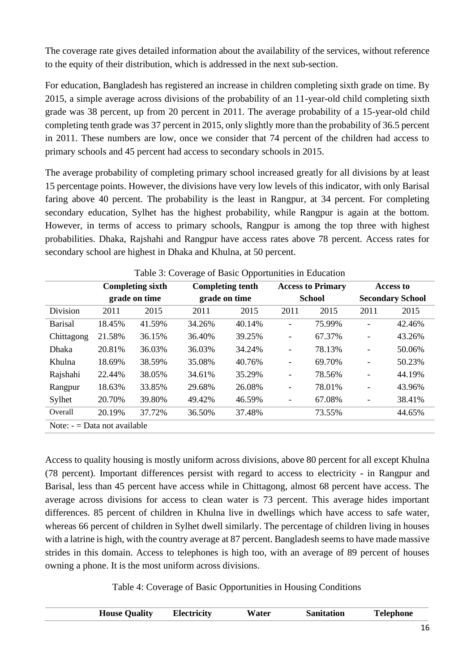The coverage rate gives detailed information about the availability of the services, without reference to the equity of their distribution, which is addressed in the next sub-section.

For education, Bangladesh has registered an increase in children completing sixth grade on time. By 2015, a simple average across divisions of the probability of an 11-year-old child completing sixth grade was 38 percent, up from 20 percent in 2011. The average probability of a 15-year-old child completing tenth grade was 37 percent in 2015, only slightly more than the probability of 36.5 percent in 2011. These numbers are low, once we consider that 74 percent of the children had access to primary schools and 45 percent had access to secondary schools in 2015.

The average probability of completing primary school increased greatly for all divisions by at least 15 percentage points. However, the divisions have very low levels of this indicator, with only Barisal faring above 40 percent. The probability is the least in Rangpur, at 34 percent. For completing secondary education, Sylhet has the highest probability, while Rangpur is again at the bottom. However, in terms of access to primary schools, Rangpur is among the top three with highest probabilities. Dhaka, Rajshahi and Rangpur have access rates above 78 percent. Access rates for secondary school are highest in Dhaka and Khulna, at 50 percent.

|                              |        | <b>Completing sixth</b> |        | <b>Completing tenth</b> |                          | <b>Access to Primary</b> |                          | <b>Access to</b>        |
|------------------------------|--------|-------------------------|--------|-------------------------|--------------------------|--------------------------|--------------------------|-------------------------|
|                              |        | grade on time           |        | grade on time           | <b>School</b>            |                          |                          | <b>Secondary School</b> |
| Division                     | 2011   | 2015                    | 2011   | 2015                    | 2011                     | 2015                     | 2011                     | 2015                    |
| <b>Barisal</b>               | 18.45% | 41.59%                  | 34.26% | 40.14%                  | $\overline{\phantom{0}}$ | 75.99%                   |                          | 42.46%                  |
| Chittagong                   | 21.58% | 36.15%                  | 36.40% | 39.25%                  | $\overline{\phantom{0}}$ | 67.37%                   | $\overline{\phantom{0}}$ | 43.26%                  |
| <b>Dhaka</b>                 | 20.81% | 36.03%                  | 36.03% | 34.24%                  | $\overline{\phantom{0}}$ | 78.13%                   | -                        | 50.06%                  |
| Khulna                       | 18.69% | 38.59%                  | 35.08% | 40.76%                  | $\overline{\phantom{0}}$ | 69.70%                   | $\overline{a}$           | 50.23%                  |
| Rajshahi                     | 22.44% | 38.05%                  | 34.61% | 35.29%                  | $\overline{\phantom{0}}$ | 78.56%                   | -                        | 44.19%                  |
| Rangpur                      | 18.63% | 33.85%                  | 29.68% | 26.08%                  | -                        | 78.01%                   |                          | 43.96%                  |
| Sylhet                       | 20.70% | 39.80%                  | 49.42% | 46.59%                  | $\qquad \qquad -$        | 67.08%                   |                          | 38.41%                  |
| Overall                      | 20.19% | 37.72%                  | 36.50% | 37.48%                  |                          | 73.55%                   |                          | 44.65%                  |
| Note: $=$ Data not available |        |                         |        |                         |                          |                          |                          |                         |

Table 3: Coverage of Basic Opportunities in Education

Access to quality housing is mostly uniform across divisions, above 80 percent for all except Khulna (78 percent). Important differences persist with regard to access to electricity - in Rangpur and Barisal, less than 45 percent have access while in Chittagong, almost 68 percent have access. The average across divisions for access to clean water is 73 percent. This average hides important differences. 85 percent of children in Khulna live in dwellings which have access to safe water, whereas 66 percent of children in Sylhet dwell similarly. The percentage of children living in houses with a latrine is high, with the country average at 87 percent. Bangladesh seems to have made massive strides in this domain. Access to telephones is high too, with an average of 89 percent of houses owning a phone. It is the most uniform across divisions.

Table 4: Coverage of Basic Opportunities in Housing Conditions

| <b>Electricity</b><br><b>House Quality</b><br>Water | <b>Telephone</b><br><b>Sanitation</b> |
|-----------------------------------------------------|---------------------------------------|
|-----------------------------------------------------|---------------------------------------|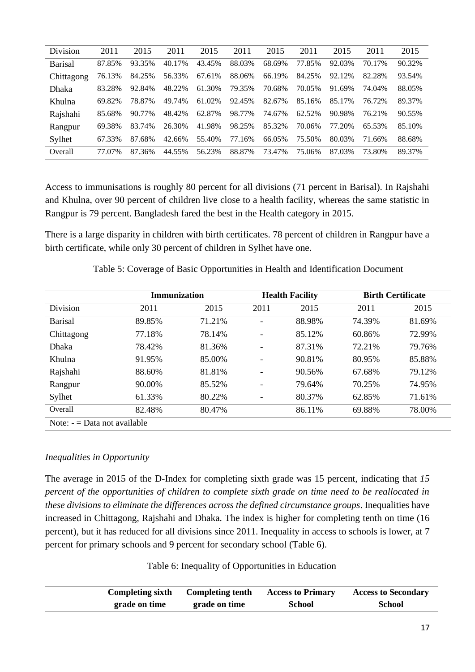| Division       | 2011   | 2015   | 2011   | 2015   | 2011   | 2015   | 2011   | 2015   | 2011   | 2015   |
|----------------|--------|--------|--------|--------|--------|--------|--------|--------|--------|--------|
| <b>Barisal</b> | 87.85% | 93.35% | 40.17% | 43.45% | 88.03% | 68.69% | 77.85% | 92.03% | 70.17% | 90.32% |
| Chittagong     | 76.13% | 84.25% | 56.33% | 67.61% | 88.06% | 66.19% | 84.25% | 92.12% | 82.28% | 93.54% |
| Dhaka          | 83.28% | 92.84% | 48.22% | 61.30% | 79.35% | 70.68% | 70.05% | 91.69% | 74.04% | 88.05% |
| Khulna         | 69.82% | 78.87% | 49.74% | 61.02% | 92.45% | 82.67% | 85.16% | 85.17% | 76.72% | 89.37% |
| Rajshahi       | 85.68% | 90.77% | 48.42% | 62.87% | 98.77% | 74.67% | 62.52% | 90.98% | 76.21% | 90.55% |
| Rangpur        | 69.38% | 83.74% | 26.30% | 41.98% | 98.25% | 85.32% | 70.06% | 77.20% | 65.53% | 85.10% |
| Sylhet         | 67.33% | 87.68% | 42.66% | 55.40% | 77.16% | 66.05% | 75.50% | 80.03% | 71.66% | 88.68% |
| Overall        | 77.07% | 87.36% | 44.55% | 56.23% | 88.87% | 73.47% | 75.06% | 87.03% | 73.80% | 89.37% |

Access to immunisations is roughly 80 percent for all divisions (71 percent in Barisal). In Rajshahi and Khulna, over 90 percent of children live close to a health facility, whereas the same statistic in Rangpur is 79 percent. Bangladesh fared the best in the Health category in 2015.

There is a large disparity in children with birth certificates. 78 percent of children in Rangpur have a birth certificate, while only 30 percent of children in Sylhet have one.

|                | <b>Immunization</b>          |        |      | <b>Health Facility</b> |        | <b>Birth Certificate</b> |  |  |  |  |
|----------------|------------------------------|--------|------|------------------------|--------|--------------------------|--|--|--|--|
| Division       | 2011                         | 2015   | 2011 | 2015                   | 2011   | 2015                     |  |  |  |  |
| <b>Barisal</b> | 89.85%                       | 71.21% |      | 88.98%                 | 74.39% | 81.69%                   |  |  |  |  |
| Chittagong     | 77.18%                       | 78.14% |      | 85.12%                 | 60.86% | 72.99%                   |  |  |  |  |
| <b>Dhaka</b>   | 78.42%                       | 81.36% | Ξ.   | 87.31%                 | 72.21% | 79.76%                   |  |  |  |  |
| Khulna         | 91.95%                       | 85.00% |      | 90.81%                 | 80.95% | 85.88%                   |  |  |  |  |
| Rajshahi       | 88.60%                       | 81.81% |      | 90.56%                 | 67.68% | 79.12%                   |  |  |  |  |
| Rangpur        | 90.00%                       | 85.52% |      | 79.64%                 | 70.25% | 74.95%                   |  |  |  |  |
| Sylhet         | 61.33%                       | 80.22% |      | 80.37%                 | 62.85% | 71.61%                   |  |  |  |  |
| Overall        | 82.48%                       | 80.47% |      | 86.11%                 | 69.88% | 78.00%                   |  |  |  |  |
|                | Note: $=$ Data not available |        |      |                        |        |                          |  |  |  |  |

Table 5: Coverage of Basic Opportunities in Health and Identification Document

### *Inequalities in Opportunity*

The average in 2015 of the D-Index for completing sixth grade was 15 percent, indicating that *15 percent of the opportunities of children to complete sixth grade on time need to be reallocated in these divisions to eliminate the differences across the defined circumstance groups*. Inequalities have increased in Chittagong, Rajshahi and Dhaka. The index is higher for completing tenth on time (16 percent), but it has reduced for all divisions since 2011. Inequality in access to schools is lower, at 7 percent for primary schools and 9 percent for secondary school (Table 6).

Table 6: Inequality of Opportunities in Education

| <b>Completing sixth</b> | Completing tenth | <b>Access to Primary</b> | <b>Access to Secondary</b> |
|-------------------------|------------------|--------------------------|----------------------------|
| grade on time           | grade on time    | <b>School</b>            | <b>School</b>              |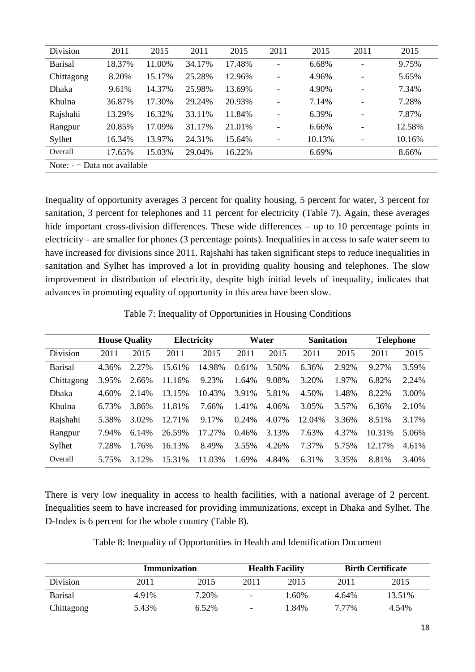| Division       | 2011                         | 2015   | 2011   | 2015   | 2011                         | 2015   | 2011                     | 2015   |  |  |
|----------------|------------------------------|--------|--------|--------|------------------------------|--------|--------------------------|--------|--|--|
| <b>Barisal</b> | 18.37%                       | 11.00% | 34.17% | 17.48% | $\qquad \qquad \blacksquare$ | 6.68%  | ۰                        | 9.75%  |  |  |
| Chittagong     | 8.20%                        | 15.17% | 25.28% | 12.96% | $\overline{\phantom{a}}$     | 4.96%  |                          | 5.65%  |  |  |
| <b>Dhaka</b>   | 9.61%                        | 14.37% | 25.98% | 13.69% | $\overline{\phantom{a}}$     | 4.90%  | $\overline{\phantom{a}}$ | 7.34%  |  |  |
| Khulna         | 36.87%                       | 17.30% | 29.24% | 20.93% | $\qquad \qquad \blacksquare$ | 7.14%  | $\overline{\phantom{0}}$ | 7.28%  |  |  |
| Rajshahi       | 13.29%                       | 16.32% | 33.11% | 11.84% | $\overline{\phantom{a}}$     | 6.39%  | $\overline{\phantom{0}}$ | 7.87%  |  |  |
| Rangpur        | 20.85%                       | 17.09% | 31.17% | 21.01% | $\overline{\phantom{0}}$     | 6.66%  | $\overline{\phantom{a}}$ | 12.58% |  |  |
| Sylhet         | 16.34%                       | 13.97% | 24.31% | 15.64% | $\qquad \qquad \blacksquare$ | 10.13% | ۰                        | 10.16% |  |  |
| Overall        | 17.65%                       | 15.03% | 29.04% | 16.22% |                              | 6.69%  |                          | 8.66%  |  |  |
|                | Note: $=$ Data not available |        |        |        |                              |        |                          |        |  |  |

Inequality of opportunity averages 3 percent for quality housing, 5 percent for water, 3 percent for sanitation, 3 percent for telephones and 11 percent for electricity (Table 7). Again, these averages hide important cross-division differences. These wide differences – up to 10 percentage points in electricity – are smaller for phones (3 percentage points). Inequalities in access to safe water seem to have increased for divisions since 2011. Rajshahi has taken significant steps to reduce inequalities in sanitation and Sylhet has improved a lot in providing quality housing and telephones. The slow improvement in distribution of electricity, despite high initial levels of inequality, indicates that advances in promoting equality of opportunity in this area have been slow.

Table 7: Inequality of Opportunities in Housing Conditions

|                | <b>House Quality</b> |       | Electricity |        |       | Water |        | <b>Sanitation</b> |        | <b>Telephone</b> |  |
|----------------|----------------------|-------|-------------|--------|-------|-------|--------|-------------------|--------|------------------|--|
| Division       | 2011                 | 2015  | 2011        | 2015   | 2011  | 2015  | 2011   | 2015              | 2011   | 2015             |  |
| <b>Barisal</b> | 4.36%                | 2.27% | 15.61%      | 14.98% | 0.61% | 3.50% | 6.36%  | 2.92%             | 9.27%  | 3.59%            |  |
| Chittagong     | 3.95%                | 2.66% | 11.16%      | 9.23%  | 1.64% | 9.08% | 3.20%  | 1.97%             | 6.82%  | 2.24%            |  |
| <b>Dhaka</b>   | 4.60%                | 2.14% | 13.15%      | 10.43% | 3.91% | 5.81% | 4.50%  | 1.48%             | 8.22%  | 3.00%            |  |
| Khulna         | 6.73%                | 3.86% | 11.81%      | 7.66%  | 1.41% | 4.06% | 3.05%  | 3.57%             | 6.36%  | 2.10%            |  |
| Rajshahi       | 5.38%                | 3.02% | 12.71%      | 9.17%  | 0.24% | 4.07% | 12.04% | 3.36%             | 8.51%  | 3.17%            |  |
| Rangpur        | 7.94%                | 6.14% | 26.59%      | 17.27% | 0.46% | 3.13% | 7.63%  | 4.37%             | 10.31% | 5.06%            |  |
| Sylhet         | 7.28%                | 1.76% | 16.13%      | 8.49%  | 3.55% | 4.26% | 7.37%  | 5.75%             | 12.17% | 4.61%            |  |
| Overall        | 5.75%                | 3.12% | 15.31%      | 11.03% | 1.69% | 4.84% | 6.31%  | 3.35%             | 8.81%  | 3.40%            |  |

There is very low inequality in access to health facilities, with a national average of 2 percent. Inequalities seem to have increased for providing immunizations, except in Dhaka and Sylhet. The D-Index is 6 percent for the whole country (Table 8).

Table 8: Inequality of Opportunities in Health and Identification Document

|                 | Immunization |       |                          | <b>Health Facility</b> | <b>Birth Certificate</b> |        |
|-----------------|--------------|-------|--------------------------|------------------------|--------------------------|--------|
| <b>Division</b> | 2011         | 2015  | 2011                     | 2015                   | 2011                     | 2015   |
| <b>Barisal</b>  | 4.91%        | 7.20% | $\overline{\phantom{0}}$ | 1.60%                  | 4.64%                    | 13.51% |
| Chittagong      | 5.43%        | 6.52% | $\qquad \qquad -$        | 1.84%                  | 7 7 7 %                  | 4.54%  |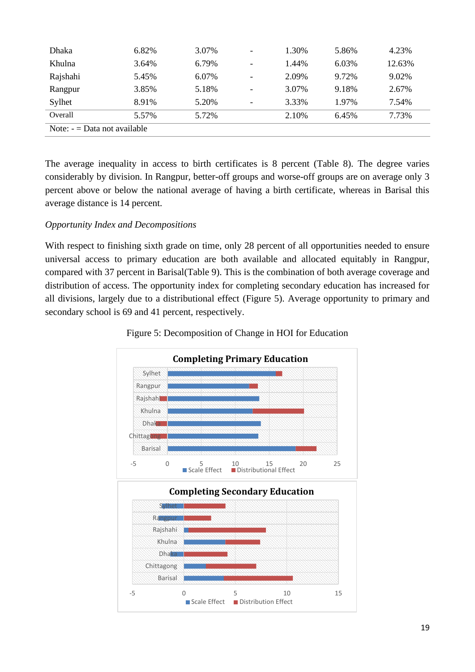| <b>Dhaka</b>                 | 6.82% | 3.07% | -                        | 1.30% | 5.86% | 4.23%  |  |  |
|------------------------------|-------|-------|--------------------------|-------|-------|--------|--|--|
| Khulna                       | 3.64% | 6.79% | $\overline{\phantom{0}}$ | 1.44% | 6.03% | 12.63% |  |  |
| Rajshahi                     | 5.45% | 6.07% | -                        | 2.09% | 9.72% | 9.02%  |  |  |
| Rangpur                      | 3.85% | 5.18% | -                        | 3.07% | 9.18% | 2.67%  |  |  |
| Sylhet                       | 8.91% | 5.20% | -                        | 3.33% | 1.97% | 7.54%  |  |  |
| Overall                      | 5.57% | 5.72% |                          | 2.10% | 6.45% | 7.73%  |  |  |
| Note: $=$ Data not available |       |       |                          |       |       |        |  |  |

The average inequality in access to birth certificates is 8 percent (Table 8). The degree varies considerably by division. In Rangpur, better-off groups and worse-off groups are on average only 3 percent above or below the national average of having a birth certificate, whereas in Barisal this average distance is 14 percent.

### *Opportunity Index and Decompositions*

With respect to finishing sixth grade on time, only 28 percent of all opportunities needed to ensure universal access to primary education are both available and allocated equitably in Rangpur, compared with 37 percent in Barisal(Table 9). This is the combination of both average coverage and distribution of access. The opportunity index for completing secondary education has increased for all divisions, largely due to a distributional effect (Figure 5). Average opportunity to primary and secondary school is 69 and 41 percent, respectively.



Figure 5: Decomposition of Change in HOI for Education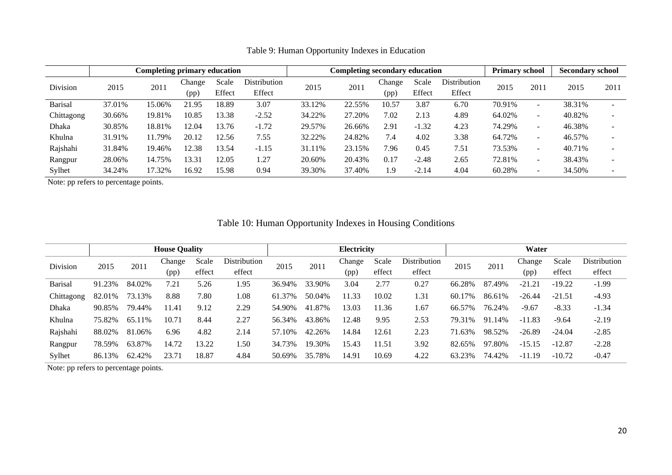|                |        | <b>Completing primary education</b> |        |        |              |        | Completing secondary education |        |         |              | <b>Primary school</b> |                          | <b>Secondary school</b> |      |
|----------------|--------|-------------------------------------|--------|--------|--------------|--------|--------------------------------|--------|---------|--------------|-----------------------|--------------------------|-------------------------|------|
| Division       | 2015   | 2011                                | Change | Scale  | Distribution | 2015   | 2011                           | Change | Scale   | Distribution | 2015                  | 2011                     | 2015                    | 2011 |
|                |        |                                     | (pp)   | Effect | Effect       |        |                                | (pp)   | Effect  | Effect       |                       |                          |                         |      |
| <b>Barisal</b> | 37.01% | 15.06%                              | 21.95  | 18.89  | 3.07         | 33.12% | 22.55%                         | 10.57  | 3.87    | 6.70         | 70.91%                | $\overline{\phantom{a}}$ | 38.31%                  | -    |
| Chittagong     | 30.66% | 19.81%                              | 10.85  | 13.38  | $-2.52$      | 34.22% | 27.20%                         | 7.02   | 2.13    | 4.89         | 64.02%                | $\overline{\phantom{a}}$ | 40.82%                  |      |
| Dhaka          | 30.85% | 18.81%                              | 12.04  | 13.76  | $-1.72$      | 29.57% | 26.66%                         | 2.91   | $-1.32$ | 4.23         | 74.29%                | $\overline{\phantom{a}}$ | 46.38%                  |      |
| Khulna         | 31.91% | 11.79%                              | 20.12  | 12.56  | 7.55         | 32.22% | 24.82%                         | 7.4    | 4.02    | 3.38         | 64.72%                | $\overline{\phantom{a}}$ | 46.57%                  |      |
| Rajshahi       | 31.84% | 19.46%                              | 12.38  | 13.54  | $-1.15$      | 31.11% | 23.15%                         | 7.96   | 0.45    | 7.51         | 73.53%                | $\overline{\phantom{a}}$ | 40.71%                  |      |
| Rangpur        | 28.06% | 14.75%                              | 13.31  | 12.05  | 1.27         | 20.60% | 20.43%                         | 0.17   | $-2.48$ | 2.65         | 72.81%                | $\overline{\phantom{a}}$ | 38.43%                  |      |
| Sylhet         | 34.24% | 17.32%                              | 16.92  | 15.98  | 0.94         | 39.30% | 37.40%                         | 1.9    | $-2.14$ | 4.04         | 60.28%                | $\overline{\phantom{a}}$ | 34.50%                  |      |

Table 9: Human Opportunity Indexes in Education

Note: pp refers to percentage points.

# Table 10: Human Opportunity Indexes in Housing Conditions

|                |        |        | <b>House Quality</b> |        |              | Electricity |        |        |        | Water        |            |        |          |          |              |
|----------------|--------|--------|----------------------|--------|--------------|-------------|--------|--------|--------|--------------|------------|--------|----------|----------|--------------|
| Division       | 2015   | 2011   | Change               | Scale  | Distribution | 2015        | 2011   | Change | Scale  | Distribution | 2015       | 2011   | Change   | Scale    | Distribution |
|                |        |        | (pp)                 | effect | effect       |             |        | (pp)   | effect | effect       |            |        | (pp)     | effect   | effect       |
| <b>Barisal</b> | 91.23% | 84.02% | 7.21                 | 5.26   | 1.95         | 36.94%      | 33.90% | 3.04   | 2.77   | 0.27         | 66.28%     | 87.49% | $-21.21$ | $-19.22$ | $-1.99$      |
| Chittagong     | 82.01% | 73.13% | 8.88                 | 7.80   | 1.08         | 61.37%      | 50.04% | 11.33  | 10.02  | 1.31         | 7%<br>60.1 | 86.61% | $-26.44$ | $-21.51$ | $-4.93$      |
| Dhaka          | 90.85% | 79.44% | 11.41                | 9.12   | 2.29         | 54.90%      | 41.87% | 13.03  | 11.36  | 1.67         | 66.57%     | 76.24% | $-9.67$  | $-8.33$  | $-1.34$      |
| Khulna         | 75.82% | 65.11% | 10.71                | 8.44   | 2.27         | 56.34%      | 43.86% | 12.48  | 9.95   | 2.53         | 79.31%     | 91.14% | $-11.83$ | $-9.64$  | $-2.19$      |
| Rajshahi       | 88.02% | 81.06% | 6.96                 | 4.82   | 2.14         | 57.10%      | 42.26% | 14.84  | 12.61  | 2.23         | 71.63%     | 98.52% | $-26.89$ | $-24.04$ | $-2.85$      |
| Rangpur        | 78.59% | 63.87% | 14.72                | 13.22  | 1.50         | 34.73%      | 19.30% | 15.43  | 11.51  | 3.92         | 82.65%     | 97.80% | $-15.15$ | $-12.87$ | $-2.28$      |
| Sylhet         | 86.13% | 62.42% | 23.71                | 18.87  | 4.84         | 50.69%      | 35.78% | 14.91  | 10.69  | 4.22         | 63.23%     | 74.42% | $-11.19$ | $-10.72$ | $-0.47$      |

Note: pp refers to percentage points.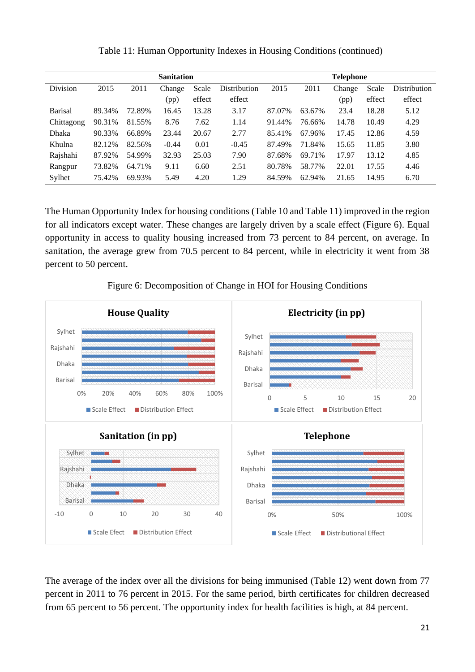|                |        |        | <b>Sanitation</b> |        |              | <b>Telephone</b> |        |        |        |              |  |
|----------------|--------|--------|-------------------|--------|--------------|------------------|--------|--------|--------|--------------|--|
| Division       | 2015   | 2011   | Change            | Scale  | Distribution | 2015             | 2011   | Change | Scale  | Distribution |  |
|                |        |        | (pp)              | effect | effect       |                  |        | (pp)   | effect | effect       |  |
| <b>Barisal</b> | 89.34% | 72.89% | 16.45             | 13.28  | 3.17         | 87.07%           | 63.67% | 23.4   | 18.28  | 5.12         |  |
| Chittagong     | 90.31% | 81.55% | 8.76              | 7.62   | 1.14         | 91.44%           | 76.66% | 14.78  | 10.49  | 4.29         |  |
| Dhaka          | 90.33% | 66.89% | 23.44             | 20.67  | 2.77         | 85.41%           | 67.96% | 17.45  | 12.86  | 4.59         |  |
| Khulna         | 82.12% | 82.56% | $-0.44$           | 0.01   | $-0.45$      | 87.49%           | 71.84% | 15.65  | 11.85  | 3.80         |  |
| Rajshahi       | 87.92% | 54.99% | 32.93             | 25.03  | 7.90         | 87.68%           | 69.71% | 17.97  | 13.12  | 4.85         |  |
| Rangpur        | 73.82% | 64.71% | 9.11              | 6.60   | 2.51         | 80.78%           | 58.77% | 22.01  | 17.55  | 4.46         |  |
| Sylhet         | 75.42% | 69.93% | 5.49              | 4.20   | 1.29         | 84.59%           | 62.94% | 21.65  | 14.95  | 6.70         |  |

Table 11: Human Opportunity Indexes in Housing Conditions (continued)

The Human Opportunity Index for housing conditions (Table 10 and Table 11) improved in the region for all indicators except water. These changes are largely driven by a scale effect (Figure 6). Equal opportunity in access to quality housing increased from 73 percent to 84 percent, on average. In sanitation, the average grew from 70.5 percent to 84 percent, while in electricity it went from 38 percent to 50 percent.

Figure 6: Decomposition of Change in HOI for Housing Conditions



The average of the index over all the divisions for being immunised (Table 12) went down from 77 percent in 2011 to 76 percent in 2015. For the same period, birth certificates for children decreased from 65 percent to 56 percent. The opportunity index for health facilities is high, at 84 percent.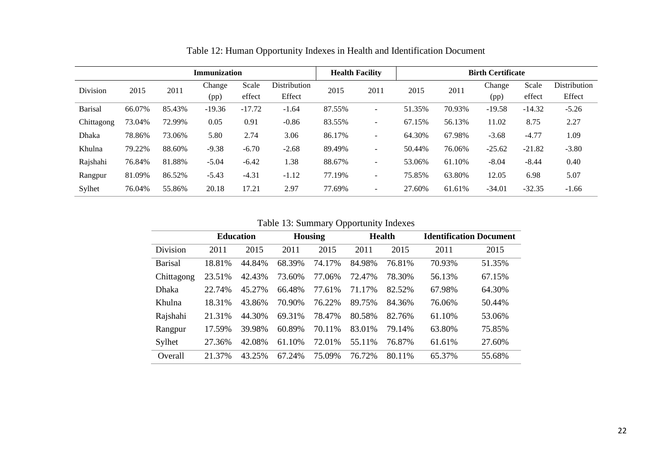|                |        |        | <b>Immunization</b> |          |              | <b>Health Facility</b> |                          | <b>Birth Certificate</b> |        |          |          |              |
|----------------|--------|--------|---------------------|----------|--------------|------------------------|--------------------------|--------------------------|--------|----------|----------|--------------|
| Division       | 2015   | 2011   | Change              | Scale    | Distribution | 2015                   | 2011                     | 2015                     | 2011   | Change   | Scale    | Distribution |
|                |        |        | (pp)                | effect   | Effect       |                        |                          |                          |        | (pp)     | effect   | Effect       |
| <b>Barisal</b> | 66.07% | 85.43% | $-19.36$            | $-17.72$ | $-1.64$      | 87.55%                 | $\overline{\phantom{0}}$ | 51.35%                   | 70.93% | $-19.58$ | $-14.32$ | $-5.26$      |
| Chittagong     | 73.04% | 72.99% | 0.05                | 0.91     | $-0.86$      | 83.55%                 | $\overline{\phantom{0}}$ | 67.15%                   | 56.13% | 11.02    | 8.75     | 2.27         |
| Dhaka          | 78.86% | 73.06% | 5.80                | 2.74     | 3.06         | 86.17%                 | $\overline{\phantom{0}}$ | 64.30%                   | 67.98% | $-3.68$  | $-4.77$  | 1.09         |
| Khulna         | 79.22% | 88.60% | $-9.38$             | $-6.70$  | $-2.68$      | 89.49%                 | $\sim$                   | 50.44%                   | 76.06% | $-25.62$ | $-21.82$ | $-3.80$      |
| Rajshahi       | 76.84% | 81.88% | $-5.04$             | $-6.42$  | 1.38         | 88.67%                 | $\sim$                   | 53.06%                   | 61.10% | $-8.04$  | $-8.44$  | 0.40         |
| Rangpur        | 81.09% | 86.52% | $-5.43$             | $-4.31$  | $-1.12$      | 77.19%                 | $\sim$                   | 75.85%                   | 63.80% | 12.05    | 6.98     | 5.07         |
| Sylhet         | 76.04% | 55.86% | 20.18               | 17.21    | 2.97         | 77.69%                 | $\overline{\phantom{0}}$ | 27.60%                   | 61.61% | $-34.01$ | $-32.35$ | $-1.66$      |

Table 12: Human Opportunity Indexes in Health and Identification Document

Table 13: Summary Opportunity Indexes

|                |        |                  |        |                | .<br>┙ |               |        |                                |
|----------------|--------|------------------|--------|----------------|--------|---------------|--------|--------------------------------|
|                |        | <b>Education</b> |        | <b>Housing</b> |        | <b>Health</b> |        | <b>Identification Document</b> |
| Division       | 2011   | 2015             | 2011   | 2015           | 2011   | 2015          | 2011   | 2015                           |
| <b>Barisal</b> | 18.81% | 44.84%           | 68.39% | 74.17%         | 84.98% | 76.81%        | 70.93% | 51.35%                         |
| Chittagong     | 23.51% | 42.43%           | 73.60% | 77.06%         | 72.47% | 78.30%        | 56.13% | 67.15%                         |
| <b>Dhaka</b>   | 22.74% | 45.27%           | 66.48% | 77.61%         | 71.17% | 82.52%        | 67.98% | 64.30%                         |
| Khulna         | 18.31% | 43.86%           | 70.90% | 76.22%         | 89.75% | 84.36%        | 76.06% | 50.44%                         |
| Rajshahi       | 21.31% | 44.30%           | 69.31% | 78.47%         | 80.58% | 82.76%        | 61.10% | 53.06%                         |
| Rangpur        | 17.59% | 39.98%           | 60.89% | 70.11%         | 83.01% | 79.14%        | 63.80% | 75.85%                         |
| Sylhet         | 27.36% | 42.08%           | 61.10% | 72.01%         | 55.11% | 76.87%        | 61.61% | 27.60%                         |
| Overall        | 21.37% | 43.25%           | 67.24% | 75.09%         | 76.72% | 80.11%        | 65.37% | 55.68%                         |
|                |        |                  |        |                |        |               |        |                                |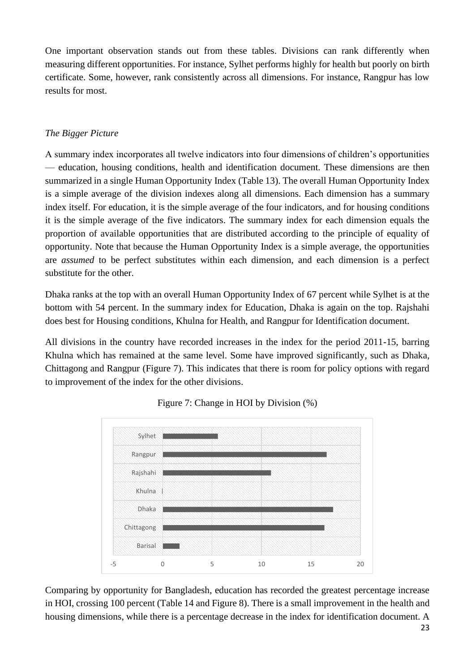One important observation stands out from these tables. Divisions can rank differently when measuring different opportunities. For instance, Sylhet performs highly for health but poorly on birth certificate. Some, however, rank consistently across all dimensions. For instance, Rangpur has low results for most.

## *The Bigger Picture*

A summary index incorporates all twelve indicators into four dimensions of children's opportunities — education, housing conditions, health and identification document. These dimensions are then summarized in a single Human Opportunity Index (Table 13). The overall Human Opportunity Index is a simple average of the division indexes along all dimensions. Each dimension has a summary index itself. For education, it is the simple average of the four indicators, and for housing conditions it is the simple average of the five indicators. The summary index for each dimension equals the proportion of available opportunities that are distributed according to the principle of equality of opportunity. Note that because the Human Opportunity Index is a simple average, the opportunities are *assumed* to be perfect substitutes within each dimension, and each dimension is a perfect substitute for the other.

Dhaka ranks at the top with an overall Human Opportunity Index of 67 percent while Sylhet is at the bottom with 54 percent. In the summary index for Education, Dhaka is again on the top. Rajshahi does best for Housing conditions, Khulna for Health, and Rangpur for Identification document.

All divisions in the country have recorded increases in the index for the period 2011-15, barring Khulna which has remained at the same level. Some have improved significantly, such as Dhaka, Chittagong and Rangpur (Figure 7). This indicates that there is room for policy options with regard to improvement of the index for the other divisions.



Figure 7: Change in HOI by Division (%)

Comparing by opportunity for Bangladesh, education has recorded the greatest percentage increase in HOI, crossing 100 percent (Table 14 and Figure 8). There is a small improvement in the health and housing dimensions, while there is a percentage decrease in the index for identification document. A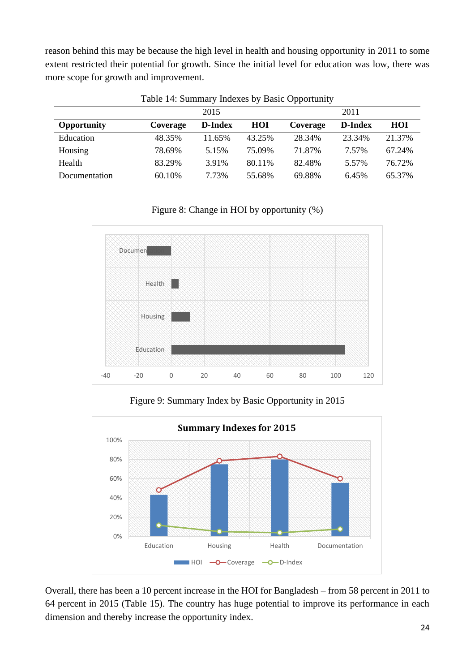reason behind this may be because the high level in health and housing opportunity in 2011 to some extent restricted their potential for growth. Since the initial level for education was low, there was more scope for growth and improvement.

|               |          | 2015    |        |          | 2011           |        |
|---------------|----------|---------|--------|----------|----------------|--------|
| Opportunity   | Coverage | D-Index | HOI    | Coverage | <b>D-Index</b> | HOI    |
| Education     | 48.35%   | 11.65%  | 43.25% | 28.34%   | 23.34%         | 21.37% |
| Housing       | 78.69%   | 5.15%   | 75.09% | 71.87%   | 7.57%          | 67.24% |
| Health        | 83.29%   | 3.91%   | 80.11% | 82.48%   | 5.57%          | 76.72% |
| Documentation | 60.10%   | 7.73%   | 55.68% | 69.88%   | 6.45%          | 65.37% |

Table 14: Summary Indexes by Basic Opportunity

## Figure 8: Change in HOI by opportunity (%)



Figure 9: Summary Index by Basic Opportunity in 2015



Overall, there has been a 10 percent increase in the HOI for Bangladesh – from 58 percent in 2011 to 64 percent in 2015 (Table 15). The country has huge potential to improve its performance in each dimension and thereby increase the opportunity index.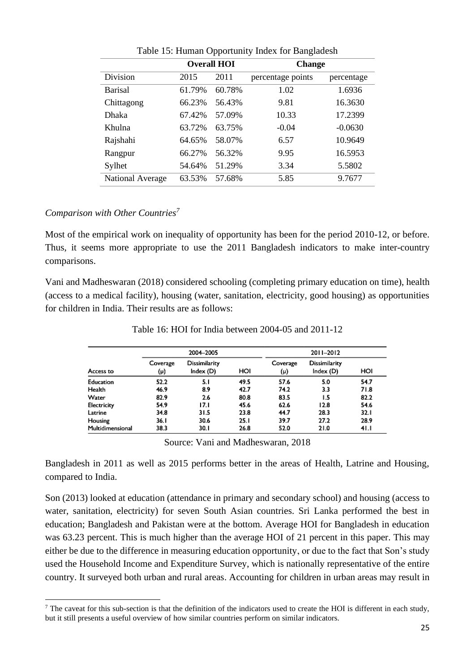|                         |        | <b>Overall HOI</b> | <b>Change</b>     |            |  |  |  |
|-------------------------|--------|--------------------|-------------------|------------|--|--|--|
| Division                | 2015   | 2011               | percentage points | percentage |  |  |  |
| <b>Barisal</b>          | 61.79% | 60.78%             | 1.02              | 1.6936     |  |  |  |
| Chittagong              | 66.23% | 56.43%             | 9.81              | 16.3630    |  |  |  |
| <b>Dhaka</b>            | 67.42% | 57.09%             | 10.33             | 17.2399    |  |  |  |
| Khulna                  | 63.72% | 63.75%             | $-0.04$           | $-0.0630$  |  |  |  |
| Rajshahi                | 64.65% | 58.07%             | 6.57              | 10.9649    |  |  |  |
| Rangpur                 | 66.27% | 56.32%             | 9.95              | 16.5953    |  |  |  |
| Sylhet                  | 54.64% | 51.29%             | 3.34              | 5.5802     |  |  |  |
| <b>National Average</b> | 63.53% | 57.68%             | 5.85              | 9.7677     |  |  |  |

Table 15: Human Opportunity Index for Bangladesh

### *Comparison with Other Countries<sup>7</sup>*

Most of the empirical work on inequality of opportunity has been for the period 2010-12, or before. Thus, it seems more appropriate to use the 2011 Bangladesh indicators to make inter-country comparisons.

Vani and Madheswaran (2018) considered schooling (completing primary education on time), health (access to a medical facility), housing (water, sanitation, electricity, good housing) as opportunities for children in India. Their results are as follows:

|                  |                 | 2004-2005                  |      |                 | 2011-2012                  |      |
|------------------|-----------------|----------------------------|------|-----------------|----------------------------|------|
| Access to        | Coverage<br>(μ) | Dissimilarity<br>Index (D) | HOI  | Coverage<br>(μ) | Dissimilarity<br>Index (D) | HOI  |
| Education        | 52.2            | 5.1                        | 49.5 | 57.6            | 5.0                        | 54.7 |
| Health           | 46.9            | 8.9                        | 42.7 | 74.2            | 3.3                        | 71.8 |
| Water            | 82.9            | 2.6                        | 80.8 | 83.5            | 1.5                        | 82.2 |
| Electricity      | 54.9            | 17.1                       | 45.6 | 62.6            | 12.8                       | 54.6 |
| Latrine          | 34.8            | 31.5                       | 23.8 | 44.7            | 28.3                       | 32.1 |
| Housing          | 36.I            | 30.6                       | 25.1 | 39.7            | 27.2                       | 28.9 |
| Multidimensional | 38.3            | 30.1                       | 26.8 | 52.0            | 21.0                       | 41.1 |

Table 16: HOI for India between 2004-05 and 2011-12

Source: Vani and Madheswaran, 2018

Bangladesh in 2011 as well as 2015 performs better in the areas of Health, Latrine and Housing, compared to India.

Son (2013) looked at education (attendance in primary and secondary school) and housing (access to water, sanitation, electricity) for seven South Asian countries. Sri Lanka performed the best in education; Bangladesh and Pakistan were at the bottom. Average HOI for Bangladesh in education was 63.23 percent. This is much higher than the average HOI of 21 percent in this paper. This may either be due to the difference in measuring education opportunity, or due to the fact that Son's study used the Household Income and Expenditure Survey, which is nationally representative of the entire country. It surveyed both urban and rural areas. Accounting for children in urban areas may result in

<sup>&</sup>lt;sup>7</sup> The caveat for this sub-section is that the definition of the indicators used to create the HOI is different in each study, but it still presents a useful overview of how similar countries perform on similar indicators.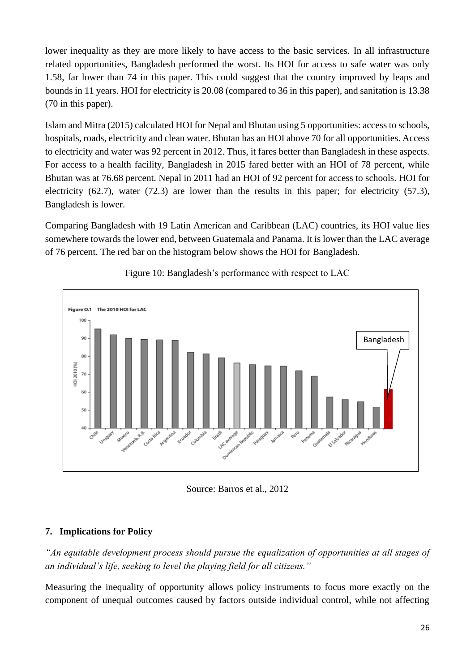lower inequality as they are more likely to have access to the basic services. In all infrastructure related opportunities, Bangladesh performed the worst. Its HOI for access to safe water was only 1.58, far lower than 74 in this paper. This could suggest that the country improved by leaps and bounds in 11 years. HOI for electricity is 20.08 (compared to 36 in this paper), and sanitation is 13.38 (70 in this paper).

Islam and Mitra (2015) calculated HOI for Nepal and Bhutan using 5 opportunities: access to schools, hospitals, roads, electricity and clean water. Bhutan has an HOI above 70 for all opportunities. Access to electricity and water was 92 percent in 2012. Thus, it fares better than Bangladesh in these aspects. For access to a health facility, Bangladesh in 2015 fared better with an HOI of 78 percent, while Bhutan was at 76.68 percent. Nepal in 2011 had an HOI of 92 percent for access to schools. HOI for electricity (62.7), water (72.3) are lower than the results in this paper; for electricity (57.3), Bangladesh is lower.

Comparing Bangladesh with 19 Latin American and Caribbean (LAC) countries, its HOI value lies somewhere towards the lower end, between Guatemala and Panama. It is lower than the LAC average of 76 percent. The red bar on the histogram below shows the HOI for Bangladesh.



Figure 10: Bangladesh's performance with respect to LAC

Source: Barros et al., 2012

## **7. Implications for Policy**

*"An equitable development process should pursue the equalization of opportunities at all stages of an individual's life, seeking to level the playing field for all citizens."*

Measuring the inequality of opportunity allows policy instruments to focus more exactly on the component of unequal outcomes caused by factors outside individual control, while not affecting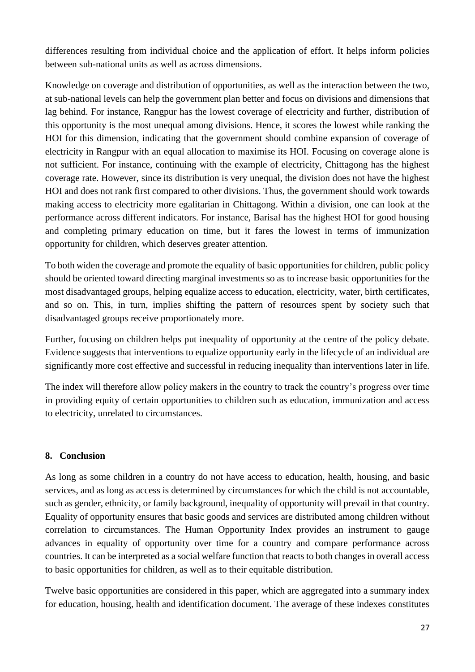differences resulting from individual choice and the application of effort. It helps inform policies between sub-national units as well as across dimensions.

Knowledge on coverage and distribution of opportunities, as well as the interaction between the two, at sub-national levels can help the government plan better and focus on divisions and dimensions that lag behind. For instance, Rangpur has the lowest coverage of electricity and further, distribution of this opportunity is the most unequal among divisions. Hence, it scores the lowest while ranking the HOI for this dimension, indicating that the government should combine expansion of coverage of electricity in Rangpur with an equal allocation to maximise its HOI. Focusing on coverage alone is not sufficient. For instance, continuing with the example of electricity, Chittagong has the highest coverage rate. However, since its distribution is very unequal, the division does not have the highest HOI and does not rank first compared to other divisions. Thus, the government should work towards making access to electricity more egalitarian in Chittagong. Within a division, one can look at the performance across different indicators. For instance, Barisal has the highest HOI for good housing and completing primary education on time, but it fares the lowest in terms of immunization opportunity for children, which deserves greater attention.

To both widen the coverage and promote the equality of basic opportunities for children, public policy should be oriented toward directing marginal investments so as to increase basic opportunities for the most disadvantaged groups, helping equalize access to education, electricity, water, birth certificates, and so on. This, in turn, implies shifting the pattern of resources spent by society such that disadvantaged groups receive proportionately more.

Further, focusing on children helps put inequality of opportunity at the centre of the policy debate. Evidence suggests that interventions to equalize opportunity early in the lifecycle of an individual are significantly more cost effective and successful in reducing inequality than interventions later in life.

The index will therefore allow policy makers in the country to track the country's progress over time in providing equity of certain opportunities to children such as education, immunization and access to electricity, unrelated to circumstances.

## **8. Conclusion**

As long as some children in a country do not have access to education, health, housing, and basic services, and as long as access is determined by circumstances for which the child is not accountable, such as gender, ethnicity, or family background, inequality of opportunity will prevail in that country. Equality of opportunity ensures that basic goods and services are distributed among children without correlation to circumstances. The Human Opportunity Index provides an instrument to gauge advances in equality of opportunity over time for a country and compare performance across countries. It can be interpreted as a social welfare function that reacts to both changes in overall access to basic opportunities for children, as well as to their equitable distribution.

Twelve basic opportunities are considered in this paper, which are aggregated into a summary index for education, housing, health and identification document. The average of these indexes constitutes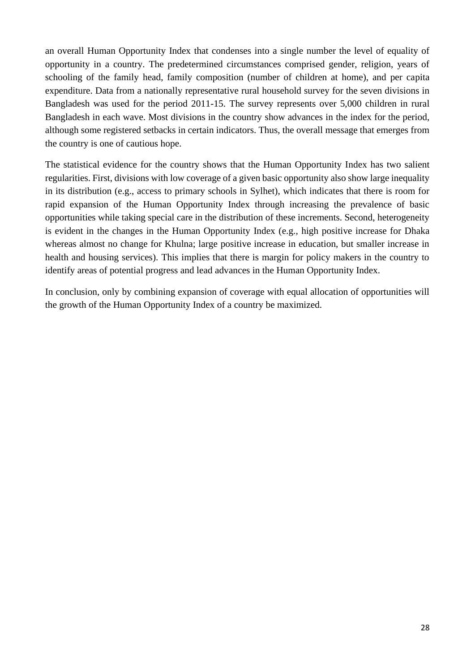an overall Human Opportunity Index that condenses into a single number the level of equality of opportunity in a country. The predetermined circumstances comprised gender, religion, years of schooling of the family head, family composition (number of children at home), and per capita expenditure. Data from a nationally representative rural household survey for the seven divisions in Bangladesh was used for the period 2011-15. The survey represents over 5,000 children in rural Bangladesh in each wave. Most divisions in the country show advances in the index for the period, although some registered setbacks in certain indicators. Thus, the overall message that emerges from the country is one of cautious hope.

The statistical evidence for the country shows that the Human Opportunity Index has two salient regularities. First, divisions with low coverage of a given basic opportunity also show large inequality in its distribution (e.g., access to primary schools in Sylhet), which indicates that there is room for rapid expansion of the Human Opportunity Index through increasing the prevalence of basic opportunities while taking special care in the distribution of these increments. Second, heterogeneity is evident in the changes in the Human Opportunity Index (e.g., high positive increase for Dhaka whereas almost no change for Khulna; large positive increase in education, but smaller increase in health and housing services). This implies that there is margin for policy makers in the country to identify areas of potential progress and lead advances in the Human Opportunity Index.

In conclusion, only by combining expansion of coverage with equal allocation of opportunities will the growth of the Human Opportunity Index of a country be maximized.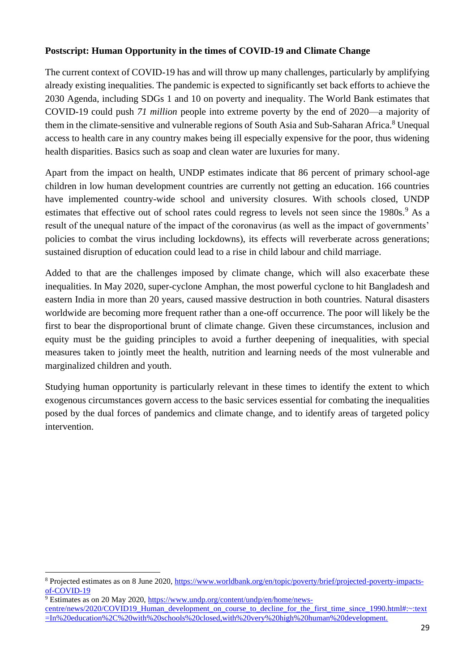### **Postscript: Human Opportunity in the times of COVID-19 and Climate Change**

The current context of COVID-19 has and will throw up many challenges, particularly by amplifying already existing inequalities. The pandemic is expected to significantly set back efforts to achieve the 2030 Agenda, including SDGs 1 and 10 on poverty and inequality. The World Bank estimates that COVID-19 could push *71 million* people into extreme poverty by the end of 2020—a majority of them in the climate-sensitive and vulnerable regions of South Asia and Sub-Saharan Africa.<sup>8</sup> Unequal access to health care in any country makes being ill especially expensive for the poor, thus widening health disparities. Basics such as soap and clean water are luxuries for many.

Apart from the impact on health, UNDP estimates indicate that 86 percent of primary school-age children in low human development countries are currently not getting an education. 166 countries have implemented country-wide school and university closures. With schools closed, UNDP estimates that effective out of school rates could regress to levels not seen since the 1980s.<sup>9</sup> As a result of the unequal nature of the impact of the coronavirus (as well as the impact of governments' policies to combat the virus including lockdowns), its effects will reverberate across generations; sustained disruption of education could lead to a rise in child labour and child marriage.

Added to that are the challenges imposed by climate change, which will also exacerbate these inequalities. In May 2020, super-cyclone Amphan, the most powerful cyclone to hit Bangladesh and eastern India in more than 20 years, caused massive destruction in both countries. Natural disasters worldwide are becoming more frequent rather than a one-off occurrence. The poor will likely be the first to bear the disproportional brunt of climate change. Given these circumstances, inclusion and equity must be the guiding principles to avoid a further deepening of inequalities, with special measures taken to jointly meet the health, nutrition and learning needs of the most vulnerable and marginalized children and youth.

Studying human opportunity is particularly relevant in these times to identify the extent to which exogenous circumstances govern access to the basic services essential for combating the inequalities posed by the dual forces of pandemics and climate change, and to identify areas of targeted policy intervention.

<sup>8</sup> Projected estimates as on 8 June 2020, [https://www.worldbank.org/en/topic/poverty/brief/projected-poverty-impacts](https://www.worldbank.org/en/topic/poverty/brief/projected-poverty-impacts-of-COVID-19)[of-COVID-19](https://www.worldbank.org/en/topic/poverty/brief/projected-poverty-impacts-of-COVID-19)

 $\frac{9}{9}$  Estimates as on 20 May 2020, [https://www.undp.org/content/undp/en/home/news](https://www.undp.org/content/undp/en/home/news-centre/news/2020/COVID19_Human_development_on_course_to_decline_for_the_first_time_since_1990.html#:~:text=In%20education%2C%20with%20schools%20closed,with%20very%20high%20human%20development.)[centre/news/2020/COVID19\\_Human\\_development\\_on\\_course\\_to\\_decline\\_for\\_the\\_first\\_time\\_since\\_1990.html#:~:text](https://www.undp.org/content/undp/en/home/news-centre/news/2020/COVID19_Human_development_on_course_to_decline_for_the_first_time_since_1990.html#:~:text=In%20education%2C%20with%20schools%20closed,with%20very%20high%20human%20development.) [=In%20education%2C%20with%20schools%20closed,with%20very%20high%20human%20development.](https://www.undp.org/content/undp/en/home/news-centre/news/2020/COVID19_Human_development_on_course_to_decline_for_the_first_time_since_1990.html#:~:text=In%20education%2C%20with%20schools%20closed,with%20very%20high%20human%20development.)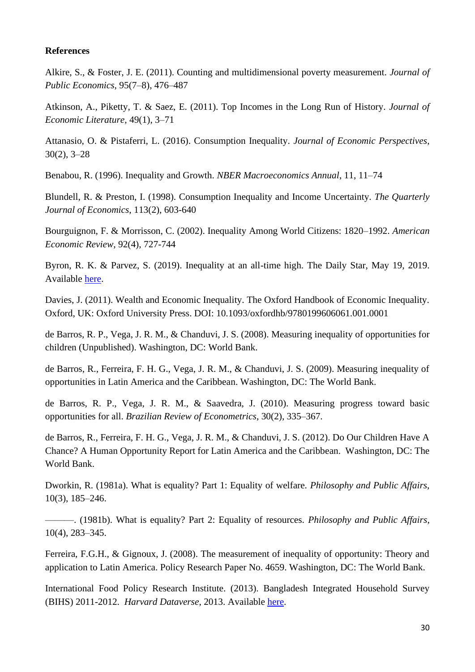#### **References**

Alkire, S., & Foster, J. E. (2011). Counting and multidimensional poverty measurement. *Journal of Public Economics*, 95(7–8), 476–487

Atkinson, A., Piketty, T. & Saez, E. (2011). Top Incomes in the Long Run of History. *Journal of Economic Literature*, 49(1), 3–71

Attanasio, O. & Pistaferri, L. (2016). Consumption Inequality. *Journal of Economic Perspectives*, 30(2), 3–28

Benabou, R. (1996). Inequality and Growth. *NBER Macroeconomics Annual*, 11, 11–74

Blundell, R. & Preston, I. (1998). Consumption Inequality and Income Uncertainty. *The Quarterly Journal of Economics*, 113(2), 603-640

Bourguignon, F. & Morrisson, C. (2002). Inequality Among World Citizens: 1820–1992. *American Economic Review*, 92(4), 727-744

Byron, R. K. & Parvez, S. (2019). Inequality at an all-time high. The Daily Star, May 19, 2019. Available [here.](https://www.thedailystar.net/frontpage/news/inequality-all-time-high-1745569)

Davies, J. (2011). Wealth and Economic Inequality. The Oxford Handbook of Economic Inequality. Oxford, UK: Oxford University Press. DOI: 10.1093/oxfordhb/9780199606061.001.0001

de Barros, R. P., Vega, J. R. M., & Chanduvi, J. S. (2008). Measuring inequality of opportunities for children (Unpublished). Washington, DC: World Bank.

de Barros, R., Ferreira, F. H. G., Vega, J. R. M., & Chanduvi, J. S. (2009). Measuring inequality of opportunities in Latin America and the Caribbean. Washington, DC: The World Bank.

de Barros, R. P., Vega, J. R. M., & Saavedra, J. (2010). Measuring progress toward basic opportunities for all. *Brazilian Review of Econometrics*, 30(2), 335–367.

de Barros, R., Ferreira, F. H. G., Vega, J. R. M., & Chanduvi, J. S. (2012). Do Our Children Have A Chance? A Human Opportunity Report for Latin America and the Caribbean. Washington, DC: The World Bank.

Dworkin, R. (1981a). What is equality? Part 1: Equality of welfare. *Philosophy and Public Affairs*, 10(3), 185–246.

———. (1981b). What is equality? Part 2: Equality of resources. *Philosophy and Public Affairs*, 10(4), 283–345.

Ferreira, F.G.H., & Gignoux, J. (2008). The measurement of inequality of opportunity: Theory and application to Latin America. Policy Research Paper No. 4659. Washington, DC: The World Bank.

International Food Policy Research Institute. (2013). Bangladesh Integrated Household Survey (BIHS) 2011-2012. *Harvard Dataverse*, 2013. Available [here.](https://doi.org/10.7910/DVN/OR6MHT)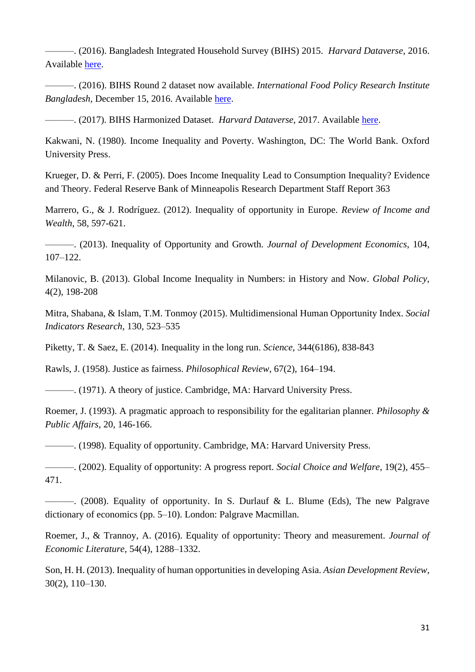———. (2016). Bangladesh Integrated Household Survey (BIHS) 2015. *Harvard Dataverse*, 2016. Available [here.](https://doi.org/10.7910/DVN/BXSYEL)

———. (2016). BIHS Round 2 dataset now available. *International Food Policy Research Institute Bangladesh,* December 15, 2016. Available [here.](https://bangladesh.ifpri.info/2016/12/15/bihs-2nd-round-dataset-now-available/)

———. (2017). BIHS Harmonized Dataset. *Harvard Dataverse*, 2017. Available [here.](https://doi.org/10.7910/DVN/PUK1P7)

Kakwani, N. (1980). Income Inequality and Poverty. Washington, DC: The World Bank. Oxford University Press.

Krueger, D. & Perri, F. (2005). Does Income Inequality Lead to Consumption Inequality? Evidence and Theory. Federal Reserve Bank of Minneapolis Research Department Staff Report 363

Marrero, G., & J. Rodríguez. (2012). Inequality of opportunity in Europe. *Review of Income and Wealth*, 58, 597-621.

———. (2013). Inequality of Opportunity and Growth. *Journal of Development Economics*, 104, 107–122.

Milanovic, B. (2013). Global Income Inequality in Numbers: in History and Now. *Global Policy*, 4(2), 198-208

Mitra, Shabana, & Islam, T.M. Tonmoy (2015). Multidimensional Human Opportunity Index. *Social Indicators Research*, 130, 523–535

Piketty, T. & Saez, E. (2014). Inequality in the long run. *Science*, 344(6186), 838-843

Rawls, J. (1958). Justice as fairness. *Philosophical Review*, 67(2), 164–194.

———. (1971). A theory of justice. Cambridge, MA: Harvard University Press.

Roemer, J. (1993). A pragmatic approach to responsibility for the egalitarian planner. *Philosophy & Public Affairs*, 20, 146-166.

———. (1998). Equality of opportunity. Cambridge, MA: Harvard University Press.

———. (2002). Equality of opportunity: A progress report. *Social Choice and Welfare*, 19(2), 455– 471.

———. (2008). Equality of opportunity. In S. Durlauf & L. Blume (Eds), The new Palgrave dictionary of economics (pp. 5–10). London: Palgrave Macmillan.

Roemer, J., & Trannoy, A. (2016). Equality of opportunity: Theory and measurement. *Journal of Economic Literature*, 54(4), 1288–1332.

Son, H. H. (2013). Inequality of human opportunities in developing Asia. *Asian Development Review*, 30(2), 110–130.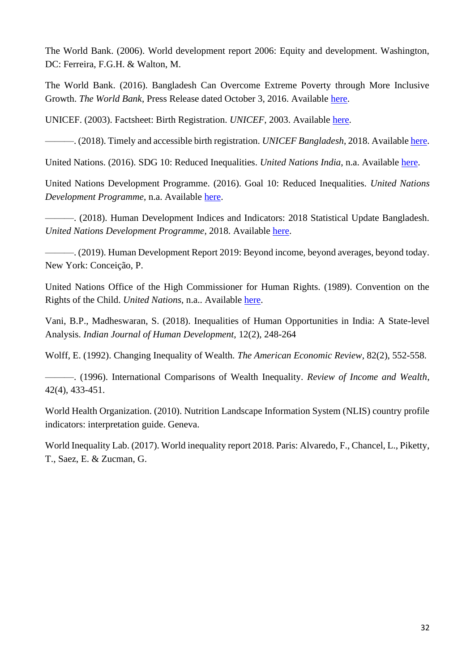The World Bank. (2006). World development report 2006: Equity and development. Washington, DC: Ferreira, F.G.H. & Walton, M.

The World Bank. (2016). Bangladesh Can Overcome Extreme Poverty through More Inclusive Growth. *The World Bank*, Press Release dated October 3, 2016. Available [here.](https://www.worldbank.org/en/news/press-release/2016/10/03/bangladesh-can-overcome-extreme-poverty-through-more-inclusive-growth)

UNICEF. (2003). Factsheet: Birth Registration. *UNICEF*, 2003. Available [here.](https://www.unicef.org/newsline/2003/03fsbirthregistration.htm)

———. (2018). Timely and accessible birth registration. *UNICEF Bangladesh*, 2018. Available [here.](https://www.unicef.org/bangladesh/en/timely-and-accessible-birth-registration)

United Nations. (2016). SDG 10: Reduced Inequalities. *United Nations India*, n.a. Available [here.](https://in.one.un.org/page/sustainable-development-goals/sdg-10/)

United Nations Development Programme. (2016). Goal 10: Reduced Inequalities. *United Nations Development Programme*, n.a. Available [here.](https://www.undp.org/content/undp/en/home/sustainable-development-goals/goal-10-reduced-inequalities.html)

———. (2018). Human Development Indices and Indicators: 2018 Statistical Update Bangladesh. *United Nations Development Programme*, 2018. Available [here.](http://hdr.undp.org/sites/default/files/Country-Profiles/BGD.pdf)

———. (2019). Human Development Report 2019: Beyond income, beyond averages, beyond today. New York: Conceição, P.

United Nations Office of the High Commissioner for Human Rights. (1989). Convention on the Rights of the Child. *United Nations*, n.a.. Available [here.](https://www.ohchr.org/en/professionalinterest/pages/crc.aspx)

Vani, B.P., Madheswaran, S. (2018). Inequalities of Human Opportunities in India: A State-level Analysis. *Indian Journal of Human Development*, 12(2), 248-264

Wolff, E. (1992). Changing Inequality of Wealth. *The American Economic Review*, 82(2), 552-558.

———. (1996). International Comparisons of Wealth Inequality. *Review of Income and Wealth*, 42(4), 433-451.

World Health Organization. (2010). Nutrition Landscape Information System (NLIS) country profile indicators: interpretation guide. Geneva.

World Inequality Lab. (2017). World inequality report 2018. Paris: Alvaredo, F., Chancel, L., Piketty, T., Saez, E. & Zucman, G.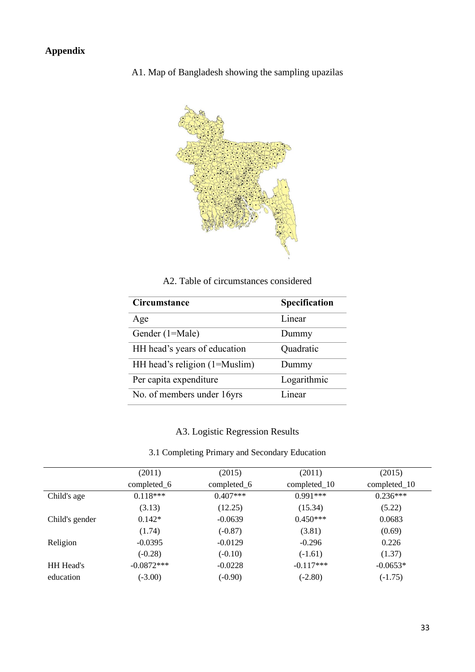A1. Map of Bangladesh showing the sampling upazilas



A2. Table of circumstances considered

| Circumstance                  | Specification |
|-------------------------------|---------------|
| Age                           | Linear        |
| Gender (1=Male)               | Dummy         |
| HH head's years of education  | Quadratic     |
| HH head's religion (1=Muslim) | Dummy         |
| Per capita expenditure        | Logarithmic   |
| No. of members under 16yrs    | Linear        |

### A3. Logistic Regression Results

3.1 Completing Primary and Secondary Education

|                  | (2011)       | (2015)      | (2011)       | (2015)         |
|------------------|--------------|-------------|--------------|----------------|
|                  | completed_6  | completed_6 | completed_10 | $completed_10$ |
| Child's age      | $0.118***$   | $0.407***$  | $0.991***$   | $0.236***$     |
|                  | (3.13)       | (12.25)     | (15.34)      | (5.22)         |
| Child's gender   | $0.142*$     | $-0.0639$   | $0.450***$   | 0.0683         |
|                  | (1.74)       | $(-0.87)$   | (3.81)       | (0.69)         |
| Religion         | $-0.0395$    | $-0.0129$   | $-0.296$     | 0.226          |
|                  | $(-0.28)$    | $(-0.10)$   | $(-1.61)$    | (1.37)         |
| <b>HH</b> Head's | $-0.0872***$ | $-0.0228$   | $-0.117***$  | $-0.0653*$     |
| education        | $(-3.00)$    | $(-0.90)$   | $(-2.80)$    | $(-1.75)$      |
|                  |              |             |              |                |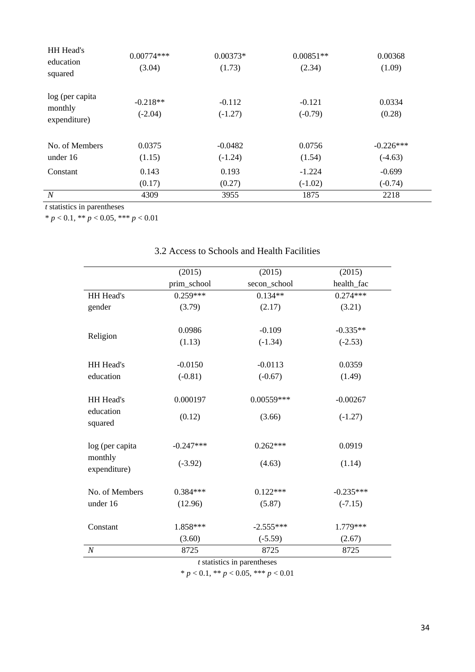| <b>HH</b> Head's<br>education<br>squared   | $0.00774***$<br>(3.04)  | $0.00373*$<br>(1.73)   | $0.00851**$<br>(2.34) | 0.00368<br>(1.09)        |
|--------------------------------------------|-------------------------|------------------------|-----------------------|--------------------------|
| log (per capita<br>monthly<br>expenditure) | $-0.218**$<br>$(-2.04)$ | $-0.112$<br>$(-1.27)$  | $-0.121$<br>$(-0.79)$ | 0.0334<br>(0.28)         |
| No. of Members<br>under 16                 | 0.0375<br>(1.15)        | $-0.0482$<br>$(-1.24)$ | 0.0756<br>(1.54)      | $-0.226***$<br>$(-4.63)$ |
| Constant                                   | 0.143<br>(0.17)         | 0.193<br>(0.27)        | $-1.224$<br>$(-1.02)$ | $-0.699$<br>$(-0.74)$    |
| N                                          | 4309                    | 3955                   | 1875                  | 2218                     |

*t* statistics in parentheses

\* *p* < 0.1, \*\* *p* < 0.05, \*\*\* *p* < 0.01

#### (2015) (2015) (2015) prim\_school secon\_school health\_fac HH Head's gender 0.259\*\*\* 0.134\*\* 0.274\*\*\*  $(3.79)$   $(2.17)$   $(3.21)$ Religion  $0.0986$  -0.109 -0.335<sup>\*\*</sup>  $(1.13)$   $(-1.34)$   $(-2.53)$ HH Head's education -0.0150 -0.0113 0.0359  $(-0.81)$   $(-0.67)$   $(1.49)$ HH Head's education squared 0.000197 0.00559\*\*\* -0.00267  $(0.12)$   $(3.66)$   $(-1.27)$ log (per capita monthly expenditure) -0.247\*\*\* 0.262\*\*\* 0.0919  $(4.63)$   $(1.14)$ No. of Members under 16  $0.384***$   $0.122***$   $-0.235***$  $(12.96)$   $(5.87)$   $(-7.15)$ Constant 1.858\*\*\* -2.555\*\*\* 1.779\*\*\*  $(3.60)$   $(-5.59)$   $(2.67)$ *N* 8725 8725 8725

## 3.2 Access to Schools and Health Facilities

*t* statistics in parentheses

\* *p* < 0.1, \*\* *p* < 0.05, \*\*\* *p* < 0.01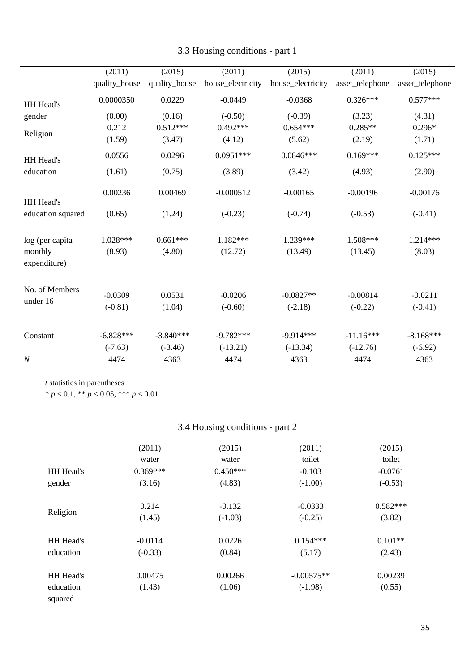|                         | (2011)        | (2015)        | (2011)            | (2015)            | (2011)          | (2015)          |
|-------------------------|---------------|---------------|-------------------|-------------------|-----------------|-----------------|
|                         | quality_house | quality_house | house_electricity | house_electricity | asset_telephone | asset_telephone |
| HH Head's               | 0.0000350     | 0.0229        | $-0.0449$         | $-0.0368$         | $0.326***$      | $0.577***$      |
| gender                  | (0.00)        | (0.16)        | $(-0.50)$         | $(-0.39)$         | (3.23)          | (4.31)          |
| Religion                | 0.212         | $0.512***$    | $0.492***$        | $0.654***$        | $0.285**$       | $0.296*$        |
|                         | (1.59)        | (3.47)        | (4.12)            | (5.62)            | (2.19)          | (1.71)          |
| HH Head's               | 0.0556        | 0.0296        | $0.0951***$       | $0.0846***$       | $0.169***$      | $0.125***$      |
| education               | (1.61)        | (0.75)        | (3.89)            | (3.42)            | (4.93)          | (2.90)          |
| HH Head's               | 0.00236       | 0.00469       | $-0.000512$       | $-0.00165$        | $-0.00196$      | $-0.00176$      |
| education squared       | (0.65)        | (1.24)        | $(-0.23)$         | $(-0.74)$         | $(-0.53)$       | $(-0.41)$       |
| log (per capita         | $1.028***$    | $0.661***$    | $1.182***$        | 1.239***          | $1.508***$      | $1.214***$      |
| monthly<br>expenditure) | (8.93)        | (4.80)        | (12.72)           | (13.49)           | (13.45)         | (8.03)          |
| No. of Members          | $-0.0309$     | 0.0531        | $-0.0206$         | $-0.0827**$       | $-0.00814$      | $-0.0211$       |
| under 16                | $(-0.81)$     | (1.04)        | $(-0.60)$         | $(-2.18)$         | $(-0.22)$       | $(-0.41)$       |
|                         |               |               |                   |                   |                 |                 |
| Constant                | $-6.828***$   | $-3.840***$   | $-9.782***$       | $-9.914***$       | $-11.16***$     | $-8.168***$     |
|                         | $(-7.63)$     | $(-3.46)$     | $(-13.21)$        | $(-13.34)$        | $(-12.76)$      | $(-6.92)$       |
| $\boldsymbol{N}$        | 4474          | 4363          | 4474              | 4363              | 4474            | 4363            |

|  | 3.3 Housing conditions - part 1 |  |
|--|---------------------------------|--|
|  |                                 |  |

*t* statistics in parentheses

\* *p* < 0.1, \*\* *p* < 0.05, \*\*\* *p* < 0.01

# 3.4 Housing conditions - part 2

|                  | (2011)     | (2015)     | (2011)       | (2015)     |
|------------------|------------|------------|--------------|------------|
|                  | water      | water      | toilet       | toilet     |
| HH Head's        | $0.369***$ | $0.450***$ | $-0.103$     | $-0.0761$  |
| gender           | (3.16)     | (4.83)     | $(-1.00)$    | $(-0.53)$  |
|                  |            |            |              |            |
|                  | 0.214      | $-0.132$   | $-0.0333$    | $0.582***$ |
| Religion         | (1.45)     | $(-1.03)$  | $(-0.25)$    | (3.82)     |
|                  |            |            |              |            |
| <b>HH</b> Head's | $-0.0114$  | 0.0226     | $0.154***$   | $0.101**$  |
| education        | $(-0.33)$  | (0.84)     | (5.17)       | (2.43)     |
|                  |            |            |              |            |
| HH Head's        | 0.00475    | 0.00266    | $-0.00575**$ | 0.00239    |
| education        | (1.43)     | (1.06)     | $(-1.98)$    | (0.55)     |
| squared          |            |            |              |            |
|                  |            |            |              |            |